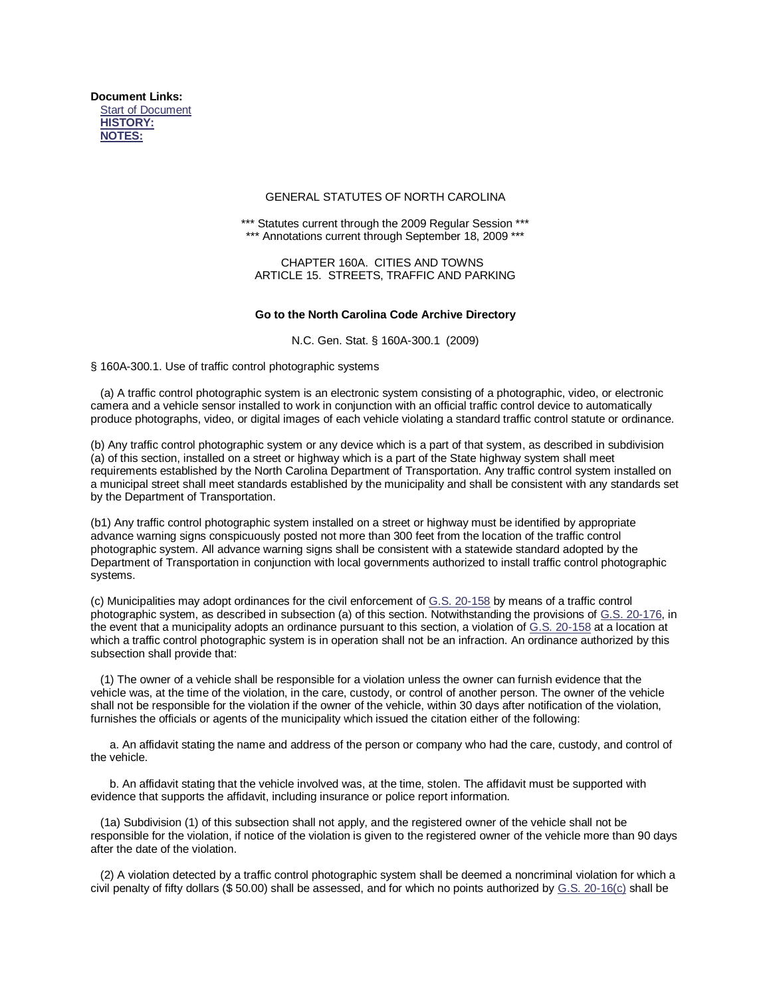**Document Links:** [Start of Document](http://web.lexis.com/xchange/search/dispdoc.asp?_qString=b4kDb1F04U2W3%3FCkWDD23E%3DvTpvpvsvsvQDzp%2BTpvPPVvPvPvPvPvPvPvpT%3D%3DV%3DpP9svpT%3DVKSp%2B9sv%2B9%3DppP%2BpsvsvPiC1F0W4UEwiCFDd0EjFF7iC1XaZ02EliCU2W4ET6mmAwiCZW23Z1EsKsspYKViC07Z2W3E6k74DholQ4DZ0iCDFaEmiC0WkdEliC13F3k7EliC1WkdEliC08J17ZD3EmiC043jZ77EmiCD2DDZFWEjfA22AGlvltjjvmm1fvjAokvllllBkl0Gxlw%2Em%2EtwwmoomBgG%2Emoowwlm%2El%2El%2EliCD3k32ECF0fU3hoGkwsM6KhoGktiu08XE1NOjS%26jv%26zS%26TiCU1GEoAfGmf0llw2fBjAmgfA0kBfk0Agj1jjjiCkDXD3EXk38%3A%3A%3AOqVss%3B%3B%3Ba2f%3A%3A%3A833X%3Abbu2j%2E72%2DZD%2E0FUb%2D08kWI2bHFaUDb4kDbz3k32Qk32aZk7D%2EkDX%3B%3B%3BZWfF%3A%3A%3Az6p6Kz%3Bqssr9K%3B%3B%3B7Zj%3A%3A%3Az6p6Kz%3B%3B%3BfZ72%3A%3A%3Aqssr9K%3B%3B%3BiCa8WkU2Eq%2Es%2EnN2W%2Enz3k3%2En%A7nmAlpvtll%2EmhoAWjDX%3B%28ollx%29iCa8F382aEiCfU3D3aEHPOO&printable=y#__docbegin__) **[HISTORY:](http://web.lexis.com/xchange/search/dispdoc.asp?_qString=b4kDb1F04U2W3%3FCkWDD23E%3DvTpvpvsvsvQDzp%2BTpvPPVvPvPvPvPvPvPvpT%3D%3DV%3DpP9svpT%3DVKSp%2B9sv%2B9%3DppP%2BpsvsvPiC1F0W4UEwiCFDd0EjFF7iC1XaZ02EliCU2W4ET6mmAwiCZW23Z1EsKsspYKViC07Z2W3E6k74DholQ4DZ0iCDFaEmiC0WkdEliC13F3k7EliC1WkdEliC08J17ZD3EmiC043jZ77EmiCD2DDZFWEjfA22AGlvltjjvmm1fvjAokvllllBkl0Gxlw%2Em%2EtwwmoomBgG%2Emoowwlm%2El%2El%2EliCD3k32ECF0fU3hoGkwsM6KhoGktiu08XE1NOjS%26jv%26zS%26TiCU1GEoAfGmf0llw2fBjAmgfA0kBfk0Agj1jjjiCkDXD3EXk38%3A%3A%3AOqVss%3B%3B%3Ba2f%3A%3A%3A833X%3Abbu2j%2E72%2DZD%2E0FUb%2D08kWI2bHFaUDb4kDbz3k32Qk32aZk7D%2EkDX%3B%3B%3BZWfF%3A%3A%3Az6p6Kz%3Bqssr9K%3B%3B%3B7Zj%3A%3A%3Az6p6Kz%3B%3B%3BfZ72%3A%3A%3Aqssr9K%3B%3B%3BiCa8WkU2Eq%2Es%2EnN2W%2Enz3k3%2En%A7nmAlpvtll%2EmhoAWjDX%3B%28ollx%29iCa8F382aEiCfU3D3aEHPOO&printable=y#SEGH_HISTORY) [NOTES:](http://web.lexis.com/xchange/search/dispdoc.asp?_qString=b4kDb1F04U2W3%3FCkWDD23E%3DvTpvpvsvsvQDzp%2BTpvPPVvPvPvPvPvPvPvpT%3D%3DV%3DpP9svpT%3DVKSp%2B9sv%2B9%3DppP%2BpsvsvPiC1F0W4UEwiCFDd0EjFF7iC1XaZ02EliCU2W4ET6mmAwiCZW23Z1EsKsspYKViC07Z2W3E6k74DholQ4DZ0iCDFaEmiC0WkdEliC13F3k7EliC1WkdEliC08J17ZD3EmiC043jZ77EmiCD2DDZFWEjfA22AGlvltjjvmm1fvjAokvllllBkl0Gxlw%2Em%2EtwwmoomBgG%2Emoowwlm%2El%2El%2EliCD3k32ECF0fU3hoGkwsM6KhoGktiu08XE1NOjS%26jv%26zS%26TiCU1GEoAfGmf0llw2fBjAmgfA0kBfk0Agj1jjjiCkDXD3EXk38%3A%3A%3AOqVss%3B%3B%3Ba2f%3A%3A%3A833X%3Abbu2j%2E72%2DZD%2E0FUb%2D08kWI2bHFaUDb4kDbz3k32Qk32aZk7D%2EkDX%3B%3B%3BZWfF%3A%3A%3Az6p6Kz%3Bqssr9K%3B%3B%3B7Zj%3A%3A%3Az6p6Kz%3B%3B%3BfZ72%3A%3A%3Aqssr9K%3B%3B%3BiCa8WkU2Eq%2Es%2EnN2W%2Enz3k3%2En%A7nmAlpvtll%2EmhoAWjDX%3B%28ollx%29iCa8F382aEiCfU3D3aEHPOO&printable=y#SEGH_NOTES)**

#### GENERAL STATUTES OF NORTH CAROLINA

\*\*\* Statutes current through the 2009 Regular Session \*\*\* \*\*\* Annotations current through September 18, 2009 \*\*\*

CHAPTER 160A. CITIES AND TOWNS ARTICLE 15. STREETS, TRAFFIC AND PARKING

#### **Go to the North Carolina Code Archive Directory**

N.C. Gen. Stat. § 160A-300.1 (2009)

§ 160A-300.1. Use of traffic control photographic systems

(a) A traffic control photographic system is an electronic system consisting of a photographic, video, or electronic camera and a vehicle sensor installed to work in conjunction with an official traffic control device to automatically produce photographs, video, or digital images of each vehicle violating a standard traffic control statute or ordinance.

(b) Any traffic control photographic system or any device which is a part of that system, as described in subdivision (a) of this section, installed on a street or highway which is a part of the State highway system shall meet requirements established by the North Carolina Department of Transportation. Any traffic control system installed on a municipal street shall meet standards established by the municipality and shall be consistent with any standards set by the Department of Transportation.

(b1) Any traffic control photographic system installed on a street or highway must be identified by appropriate advance warning signs conspicuously posted not more than 300 feet from the location of the traffic control photographic system. All advance warning signs shall be consistent with a statewide standard adopted by the Department of Transportation in conjunction with local governments authorized to install traffic control photographic systems.

(c) Municipalities may adopt ordinances for the civil enforcement o[f G.S. 20-158](http://web.lexis.com/xchange/search/search.asp?_qString=b4kDbj433FW6HOZWJ%3FC%2Df2a0Z32Eq%2Es%2EholN2W%2Eholz3k3%2EholhkgholmAlpvtll%2EmiCj436%25X2EwiCj43z3k3EliCj43q4UEoiCj43MW7ZW2EmiCj43ZWfFEqssr9KhololvmGBiCU2W4ET6mmAwiCZW23Z1EsKsspYKViC07Z2W3E6k74DholQ4DZ0iCDFaEliC0WkdEliC13F3k7EliC1WkdEliC08J17ZD3EmiC043jZ77EliCFDd0EjFF7iCD2DDZFWEjfA22AGlvltjjvmm1fvjAokvllllBkl0Gxlw%2Em%2EtwwmoomBgG%2Emoowwlm%2El%2El%2EliCD3k32ECF0fU3hoGkwsM6KhoGktCF1fU3hoGkwHPOOhoGktiu08XE1NOjS%26jv%26zS%26TiCU1GEkglmk2x1tmA1tfttgjjookG2jtAokGf2) by means of a traffic control photographic system, as described in subsection (a) of this section. Notwithstanding the provisions o[f G.S. 20-176,](http://web.lexis.com/xchange/search/search.asp?_qString=b4kDbj433FW6HOZWJ%3FC%2Df2a0Z32Eq%2Es%2EholN2W%2Eholz3k3%2EholhkgholmAlpvtll%2EmiCj436%25X2EwiCj43z3k3EliCj43q4UEtiCj43MW7ZW2EmiCj43ZWfFEqssr9KhololvmgAiCU2W4ET6mmAwiCZW23Z1EsKsspYKViC07Z2W3E6k74DholQ4DZ0iCDFaEliC0WkdEliC13F3k7EliC1WkdEliC08J17ZD3EmiC043jZ77EliCFDd0EjFF7iCD2DDZFWEjfA22AGlvltjjvmm1fvjAokvllllBkl0Gxlw%2Em%2EtwwmoomBgG%2Emoowwlm%2El%2El%2EliCD3k32ECF0fU3hoGkwsM6KhoGktCF1fU3hoGkwHPOOhoGktiu08XE1NOjS%26jv%26zS%26TiCU1GEtt0lgm2xt1m00wxwlfg0jw1wglBfttxt) in the event that a municipality adopts an ordinance pursuant to this section, a violation of [G.S. 20-158](http://web.lexis.com/xchange/search/search.asp?_qString=b4kDbj433FW6HOZWJ%3FC%2Df2a0Z32Eq%2Es%2EholN2W%2Eholz3k3%2EholhkgholmAlpvtll%2EmiCj436%25X2EwiCj43z3k3EliCj43q4UEwiCj43MW7ZW2EmiCj43ZWfFEqssr9KhololvmGBiCU2W4ET6mmAwiCZW23Z1EsKsspYKViC07Z2W3E6k74DholQ4DZ0iCDFaEliC0WkdEliC13F3k7EliC1WkdEliC08J17ZD3EmiC043jZ77EliCFDd0EjFF7iCD2DDZFWEjfA22AGlvltjjvmm1fvjAokvllllBkl0Gxlw%2Em%2EtwwmoomBgG%2Emoowwlm%2El%2El%2EliCD3k32ECF0fU3hoGkwsM6KhoGktCF1fU3hoGkwHPOOhoGktiu08XE1NOjS%26jv%26zS%26TiCU1GEfxmm0Bj0owljmxxtGoBtgk1gtwg12Gfo) at a location at which a traffic control photographic system is in operation shall not be an infraction. An ordinance authorized by this subsection shall provide that:

 (1) The owner of a vehicle shall be responsible for a violation unless the owner can furnish evidence that the vehicle was, at the time of the violation, in the care, custody, or control of another person. The owner of the vehicle shall not be responsible for the violation if the owner of the vehicle, within 30 days after notification of the violation, furnishes the officials or agents of the municipality which issued the citation either of the following:

 a. An affidavit stating the name and address of the person or company who had the care, custody, and control of the vehicle.

 b. An affidavit stating that the vehicle involved was, at the time, stolen. The affidavit must be supported with evidence that supports the affidavit, including insurance or police report information.

 (1a) Subdivision (1) of this subsection shall not apply, and the registered owner of the vehicle shall not be responsible for the violation, if notice of the violation is given to the registered owner of the vehicle more than 90 days after the date of the violation.

 (2) A violation detected by a traffic control photographic system shall be deemed a noncriminal violation for which a civil penalty of fifty dollars (\$ 50.00) shall be assessed, and for which no points authorized by [G.S. 20-16\(c\)](http://web.lexis.com/xchange/search/search.asp?_qString=b4kDbj433FW6HOZWJ%3FC%2Df2a0Z32Eq%2Es%2EholN2W%2Eholz3k3%2EholhkgholmAlpvtll%2EmiCj436%25X2EwiCj43z3k3EliCj43q4UEGiCj43MW7ZW2EmiCj43ZWfFEqssr9KhololvmAiCU2W4ET6mmAwiCZW23Z1EsKsspYKViC07Z2W3E6k74DholQ4DZ0iCDFaEliC0WkdEliC13F3k7EliC1WkdEliC08J17ZD3EmiC043jZ77EliCFDd0EjFF7iCD2DDZFWEjfA22AGlvltjjvmm1fvjAokvllllBkl0Gxlw%2Em%2EtwwmoomBgG%2Emoowwlm%2El%2El%2EliCD3k32ECF0fU3hoGkwsM6KhoGktCF1fU3hoGkwHPOOhoGktiu08XE1NOjS%26jv%26zS%26TiCU1GE2llwml2omkAtk12jkgkBtoto0l0jx11t) shall be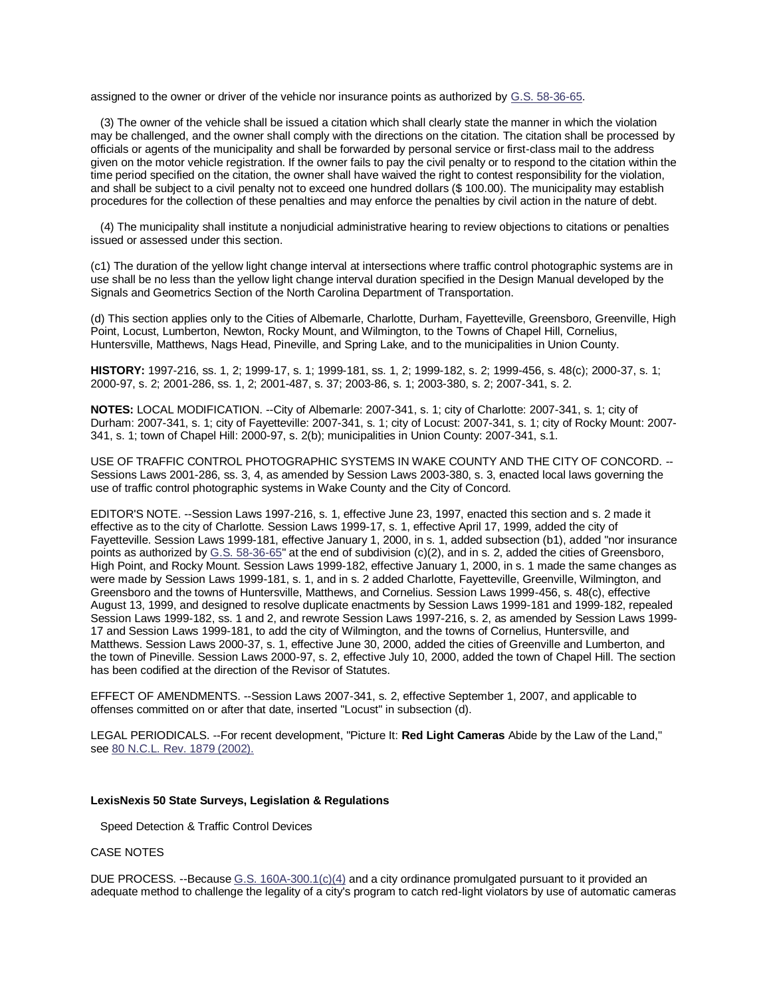assigned to the owner or driver of the vehicle nor insurance points as authorized by [G.S. 58-36-65.](http://web.lexis.com/xchange/search/search.asp?_qString=b4kDbj433FW6HOZWJ%3FC%2Df2a0Z32Eq%2Es%2EholN2W%2Eholz3k3%2EholhkgholmAlpvtll%2EmiCj436%25X2EwiCj43z3k3EliCj43q4UEAiCj43MW7ZW2EmiCj43ZWfFEqssr9KholGBvtAvAGiCU2W4ET6mmAwiCZW23Z1EsKsspYKViC07Z2W3E6k74DholQ4DZ0iCDFaEliC0WkdEliC13F3k7EliC1WkdEliC08J17ZD3EmiC043jZ77EliCFDd0EjFF7iCD2DDZFWEjfA22AGlvltjjvmm1fvjAokvllllBkl0Gxlw%2Em%2EtwwmoomBgG%2Emoowwlm%2El%2El%2EliCD3k32ECF0fU3hoGkwsM6KhoGktCF1fU3hoGkwHPOOhoGktiu08XE1NOjS%26jv%26zS%26TiCU1GEjmwmlG1mk2gwtwkBfkBAtB0Alo2oBkg1)

 (3) The owner of the vehicle shall be issued a citation which shall clearly state the manner in which the violation may be challenged, and the owner shall comply with the directions on the citation. The citation shall be processed by officials or agents of the municipality and shall be forwarded by personal service or first-class mail to the address given on the motor vehicle registration. If the owner fails to pay the civil penalty or to respond to the citation within the time period specified on the citation, the owner shall have waived the right to contest responsibility for the violation, and shall be subject to a civil penalty not to exceed one hundred dollars (\$ 100.00). The municipality may establish procedures for the collection of these penalties and may enforce the penalties by civil action in the nature of debt.

 (4) The municipality shall institute a nonjudicial administrative hearing to review objections to citations or penalties issued or assessed under this section.

(c1) The duration of the yellow light change interval at intersections where traffic control photographic systems are in use shall be no less than the yellow light change interval duration specified in the Design Manual developed by the Signals and Geometrics Section of the North Carolina Department of Transportation.

(d) This section applies only to the Cities of Albemarle, Charlotte, Durham, Fayetteville, Greensboro, Greenville, High Point, Locust, Lumberton, Newton, Rocky Mount, and Wilmington, to the Towns of Chapel Hill, Cornelius, Huntersville, Matthews, Nags Head, Pineville, and Spring Lake, and to the municipalities in Union County.

**HISTORY:** 1997-216, ss. 1, 2; 1999-17, s. 1; 1999-181, ss. 1, 2; 1999-182, s. 2; 1999-456, s. 48(c); 2000-37, s. 1; 2000-97, s. 2; 2001-286, ss. 1, 2; 2001-487, s. 37; 2003-86, s. 1; 2003-380, s. 2; 2007-341, s. 2.

**NOTES:** LOCAL MODIFICATION. --City of Albemarle: 2007-341, s. 1; city of Charlotte: 2007-341, s. 1; city of Durham: 2007-341, s. 1; city of Fayetteville: 2007-341, s. 1; city of Locust: 2007-341, s. 1; city of Rocky Mount: 2007- 341, s. 1; town of Chapel Hill: 2000-97, s. 2(b); municipalities in Union County: 2007-341, s.1.

USE OF TRAFFIC CONTROL PHOTOGRAPHIC SYSTEMS IN WAKE COUNTY AND THE CITY OF CONCORD. -- Sessions Laws 2001-286, ss. 3, 4, as amended by Session Laws 2003-380, s. 3, enacted local laws governing the use of traffic control photographic systems in Wake County and the City of Concord.

EDITOR'S NOTE. --Session Laws 1997-216, s. 1, effective June 23, 1997, enacted this section and s. 2 made it effective as to the city of Charlotte. Session Laws 1999-17, s. 1, effective April 17, 1999, added the city of Fayetteville. Session Laws 1999-181, effective January 1, 2000, in s. 1, added subsection (b1), added "nor insurance points as authorized by [G.S. 58-36-65"](http://web.lexis.com/xchange/search/search.asp?_qString=b4kDbj433FW6HOZWJ%3FC%2Df2a0Z32Eq%2Es%2EholN2W%2Eholz3k3%2EholhkgholmAlpvtll%2EmiCj436%25X2EwiCj43z3k3EliCj43q4UEtmiCj43MW7ZW2EmiCj43ZWfFEqssr9KholGBvtAvAGiCU2W4ET6mmAwiCZW23Z1EsKsspYKViC07Z2W3E6k74DholQ4DZ0iCDFaEliC0WkdEliC13F3k7EliC1WkdEliC08J17ZD3EmiC043jZ77EliCFDd0EjFF7iCD2DDZFWEjfA22AGlvltjjvmm1fvjAokvllllBkl0Gxlw%2Em%2EtwwmoomBgG%2Emoowwlm%2El%2El%2EliCD3k32ECF0fU3hoGkwsM6KhoGktCF1fU3hoGkwHPOOhoGktiu08XE1NOjS%26jv%26zS%26TiCU1GElm1mAfo0wB0xB0xAjx1G0kmgABwjlGjB) at the end of subdivision (c)(2), and in s. 2, added the cities of Greensboro, High Point, and Rocky Mount. Session Laws 1999-182, effective January 1, 2000, in s. 1 made the same changes as were made by Session Laws 1999-181, s. 1, and in s. 2 added Charlotte, Fayetteville, Greenville, Wilmington, and Greensboro and the towns of Huntersville, Matthews, and Cornelius. Session Laws 1999-456, s. 48(c), effective August 13, 1999, and designed to resolve duplicate enactments by Session Laws 1999-181 and 1999-182, repealed Session Laws 1999-182, ss. 1 and 2, and rewrote Session Laws 1997-216, s. 2, as amended by Session Laws 1999- 17 and Session Laws 1999-181, to add the city of Wilmington, and the towns of Cornelius, Huntersville, and Matthews. Session Laws 2000-37, s. 1, effective June 30, 2000, added the cities of Greenville and Lumberton, and the town of Pineville. Session Laws 2000-97, s. 2, effective July 10, 2000, added the town of Chapel Hill. The section has been codified at the direction of the Revisor of Statutes.

EFFECT OF AMENDMENTS. --Session Laws 2007-341, s. 2, effective September 1, 2007, and applicable to offenses committed on or after that date, inserted "Locust" in subsection (d).

LEGAL PERIODICALS. --For recent development, "Picture It: **Red Light Cameras** Abide by the Law of the Land," see [80 N.C.L. Rev. 1879 \(2002\).](http://web.lexis.com/xchange/search/search.asp?_qString=b4kDbj433FW6HOZWJ%3FC%2Df2a0Z32Eq%2Es%2EholN2W%2Eholz3k3%2EholhkgholmAlpvtll%2EmiCj436%25X2EtiCj43z3k3EoiCj43q4UEtxiCj43MW7ZW2EmiCj43ZWfFEht00Z32hol00ht1hooPzphooht2ht0homhGjs9p6phGjBlholq%2Es%2EO%2EholY2d%2EholmBgxhG1hG1ht2ht0hof0Z32ht2iCU2W4ET6mmAwiCZW23Z1EsKsspYKViC07Z2W3E6k74DholQ4DZ0iCDFaEliC0WkdEliC13F3k7EliC1WkdEliC08J17ZD3EmiC043jZ77EliCFDd0EjFF7iCD2DDZFWEjfA22AGlvltjjvmm1fvjAokvllllBkl0Gxlw%2Em%2EtwwmoomBgG%2Emoowwlm%2El%2El%2EliCD3k32ECF0fU3hoGkwsM6KhoGktCF1fU3hoGkwHPOOhoGktiu08XE1NOjS%26jv%26zS%26TiCU1GEft2AtttjmxxGkm0gwxltGmGl1owogxtg)

#### **LexisNexis 50 State Surveys, Legislation & Regulations**

Speed Detection & Traffic Control Devices

#### CASE NOTES

DUE PROCESS. --Because [G.S. 160A-300.1\(c\)\(4\)](http://web.lexis.com/xchange/search/search.asp?_qString=b4kDbj433FW6HOZWJ%3FC%2Df2a0Z32Eq%2Es%2EholN2W%2Eholz3k3%2EholhkgholmAlpvtll%2EmiCj436%25X2EwiCj43z3k3EliCj43q4UEwmiCj43MW7ZW2EmiCj43ZWfFEqssr9KholmAlpvtll%2EmiCU2W4ET6mmAwiCZW23Z1EsKsspYKViC07Z2W3E6k74DholQ4DZ0iCDFaEliC0WkdEliC13F3k7EliC1WkdEliC08J17ZD3EmiC043jZ77EliCFDd0EjFF7iCD2DDZFWEjfA22AGlvltjjvmm1fvjAokvllllBkl0Gxlw%2Em%2EtwwmoomBgG%2Emoowwlm%2El%2El%2EliCD3k32ECF0fU3hoGkwsM6KhoGktCF1fU3hoGkwHPOOhoGktiu08XE1NOjS%26jv%26zS%26TiCU1GE0ogABfmBwomgklBmkjlA2lk0Ajtm2gBw) and a city ordinance promulgated pursuant to it provided an adequate method to challenge the legality of a city's program to catch red-light violators by use of automatic cameras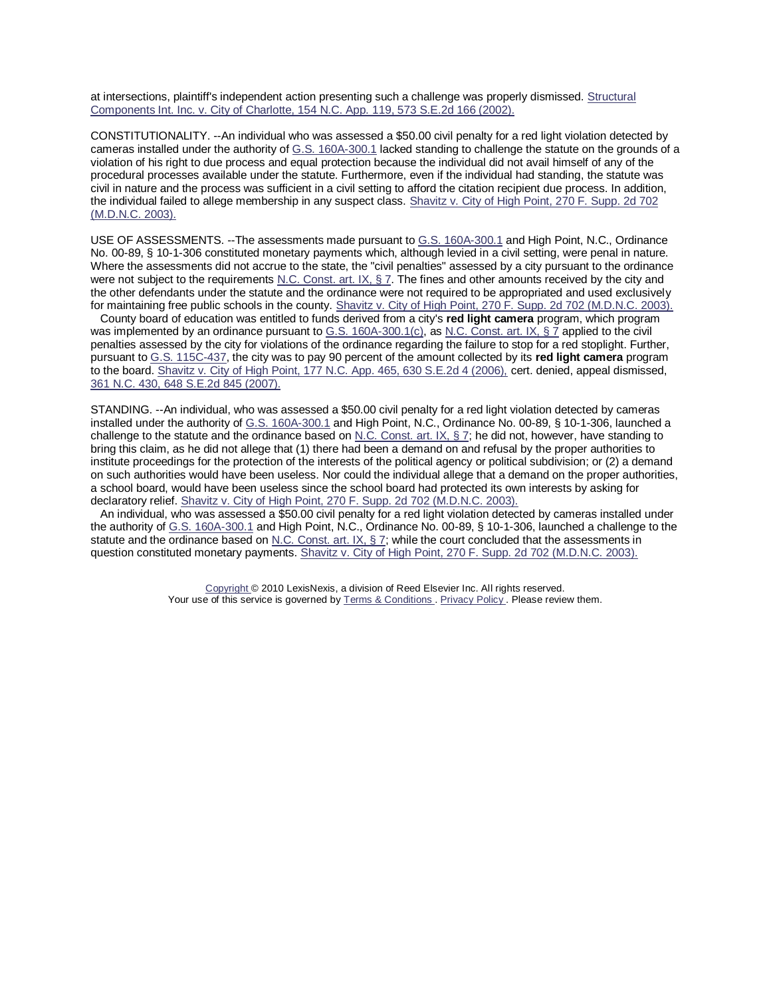at intersections, plaintiff's independent action presenting such a challenge was properly dismissed. [Structural](http://web.lexis.com/xchange/search/search.asp?_qString=b4kDbj433FW6HOZWJ%3FC%2Df2a0Z32Eq%2Es%2EholN2W%2Eholz3k3%2EholhkgholmAlpvtll%2EmiCj436%25X2EtiCj43z3k3EoiCj43q4UEwoiCj43MW7ZW2EmiCj43ZWfFEht00Z32hol00ht1hooPzphooht2ht0homhGjs9p6phGjmGwholq%2Es%2EholpXX%2EholmmxhG1hG1ht2ht0hof0Z32ht2iCU2W4ET6mmAwiCZW23Z1EsKsspYKViC07Z2W3E6k74DholQ4DZ0iCDFaEliC0WkdEliC13F3k7EliC1WkdEliC08J17ZD3EmiC043jZ77EliCFDd0EjFF7iCD2DDZFWEjfA22AGlvltjjvmm1fvjAokvllllBkl0Gxlw%2Em%2EtwwmoomBgG%2Emoowwlm%2El%2El%2EliCD3k32ECF0fU3hoGkwsM6KhoGktCF1fU3hoGkwHPOOhoGktiu08XE1NOjS%26jv%26zS%26TiCU1GEfGxllw0tA1GkBg1om01fgf1k01Bm2xAB)  [Components Int. Inc. v. City of Charlotte, 154 N.C. App. 119, 573 S.E.2d 166 \(2002\).](http://web.lexis.com/xchange/search/search.asp?_qString=b4kDbj433FW6HOZWJ%3FC%2Df2a0Z32Eq%2Es%2EholN2W%2Eholz3k3%2EholhkgholmAlpvtll%2EmiCj436%25X2EtiCj43z3k3EoiCj43q4UEwoiCj43MW7ZW2EmiCj43ZWfFEht00Z32hol00ht1hooPzphooht2ht0homhGjs9p6phGjmGwholq%2Es%2EholpXX%2EholmmxhG1hG1ht2ht0hof0Z32ht2iCU2W4ET6mmAwiCZW23Z1EsKsspYKViC07Z2W3E6k74DholQ4DZ0iCDFaEliC0WkdEliC13F3k7EliC1WkdEliC08J17ZD3EmiC043jZ77EliCFDd0EjFF7iCD2DDZFWEjfA22AGlvltjjvmm1fvjAokvllllBkl0Gxlw%2Em%2EtwwmoomBgG%2Emoowwlm%2El%2El%2EliCD3k32ECF0fU3hoGkwsM6KhoGktCF1fU3hoGkwHPOOhoGktiu08XE1NOjS%26jv%26zS%26TiCU1GEfGxllw0tA1GkBg1om01fgf1k01Bm2xAB)

CONSTITUTIONALITY. --An individual who was assessed a \$50.00 civil penalty for a red light violation detected by cameras installed under the authority of [G.S. 160A-300.1](http://web.lexis.com/xchange/search/search.asp?_qString=b4kDbj433FW6HOZWJ%3FC%2Df2a0Z32Eq%2Es%2EholN2W%2Eholz3k3%2EholhkgholmAlpvtll%2EmiCj436%25X2EwiCj43z3k3EliCj43q4UEwtiCj43MW7ZW2EmiCj43ZWfFEqssr9KholmAlpvtll%2EmiCU2W4ET6mmAwiCZW23Z1EsKsspYKViC07Z2W3E6k74DholQ4DZ0iCDFaEliC0WkdEliC13F3k7EliC1WkdEliC08J17ZD3EmiC043jZ77EliCFDd0EjFF7iCD2DDZFWEjfA22AGlvltjjvmm1fvjAokvllllBkl0Gxlw%2Em%2EtwwmoomBgG%2Emoowwlm%2El%2El%2EliCD3k32ECF0fU3hoGkwsM6KhoGktCF1fU3hoGkwHPOOhoGktiu08XE1NOjS%26jv%26zS%26TiCU1GEoGg1fGAttx2Al2GjG0mfjmmo0m2Bk0mk) lacked standing to challenge the statute on the grounds of a violation of his right to due process and equal protection because the individual did not avail himself of any of the procedural processes available under the statute. Furthermore, even if the individual had standing, the statute was civil in nature and the process was sufficient in a civil setting to afford the citation recipient due process. In addition, the individual failed to allege membership in any suspect class. [Shavitz v. City of High Point, 270 F. Supp. 2d 702](http://web.lexis.com/xchange/search/search.asp?_qString=b4kDbj433FW6HOZWJ%3FC%2Df2a0Z32Eq%2Es%2EholN2W%2Eholz3k3%2EholhkgholmAlpvtll%2EmiCj436%25X2EtiCj43z3k3EoiCj43q4UEwwiCj43MW7ZW2EmiCj43ZWfFEht00Z32hol00ht1hooPzphooht2ht0homhGjs9p6phGjoglholH%2Eholz4XX%2Eholo1holglohG1hG1ht2ht0hof0Z32ht2iCU2W4ET6mmAwiCZW23Z1EsKsspYKViC07Z2W3E6k74DholQ4DZ0iCDFaEliC0WkdEliC13F3k7EliC1WkdEliC08J17ZD3EmiC043jZ77EliCFDd0EjFF7iCD2DDZFWEjfA22AGlvltjjvmm1fvjAokvllllBkl0Gxlw%2Em%2EtwwmoomBgG%2Emoowwlm%2El%2El%2EliCD3k32ECF0fU3hoGkwsM6KhoGktCF1fU3hoGkwHPOOhoGktiu08XE1NOjS%26jv%26zS%26TiCU1GE1xoogGjwAxwwkfBxtwkm00g1BgBowlxB)  [\(M.D.N.C. 2003\).](http://web.lexis.com/xchange/search/search.asp?_qString=b4kDbj433FW6HOZWJ%3FC%2Df2a0Z32Eq%2Es%2EholN2W%2Eholz3k3%2EholhkgholmAlpvtll%2EmiCj436%25X2EtiCj43z3k3EoiCj43q4UEwwiCj43MW7ZW2EmiCj43ZWfFEht00Z32hol00ht1hooPzphooht2ht0homhGjs9p6phGjoglholH%2Eholz4XX%2Eholo1holglohG1hG1ht2ht0hof0Z32ht2iCU2W4ET6mmAwiCZW23Z1EsKsspYKViC07Z2W3E6k74DholQ4DZ0iCDFaEliC0WkdEliC13F3k7EliC1WkdEliC08J17ZD3EmiC043jZ77EliCFDd0EjFF7iCD2DDZFWEjfA22AGlvltjjvmm1fvjAokvllllBkl0Gxlw%2Em%2EtwwmoomBgG%2Emoowwlm%2El%2El%2EliCD3k32ECF0fU3hoGkwsM6KhoGktCF1fU3hoGkwHPOOhoGktiu08XE1NOjS%26jv%26zS%26TiCU1GE1xoogGjwAxwwkfBxtwkm00g1BgBowlxB)

USE OF ASSESSMENTS. --The assessments made pursuant to [G.S. 160A-300.1](http://web.lexis.com/xchange/search/search.asp?_qString=b4kDbj433FW6HOZWJ%3FC%2Df2a0Z32Eq%2Es%2EholN2W%2Eholz3k3%2EholhkgholmAlpvtll%2EmiCj436%25X2EwiCj43z3k3EliCj43q4UEwGiCj43MW7ZW2EmiCj43ZWfFEqssr9KholmAlpvtll%2EmiCU2W4ET6mmAwiCZW23Z1EsKsspYKViC07Z2W3E6k74DholQ4DZ0iCDFaEliC0WkdEliC13F3k7EliC1WkdEliC08J17ZD3EmiC043jZ77EliCFDd0EjFF7iCD2DDZFWEjfA22AGlvltjjvmm1fvjAokvllllBkl0Gxlw%2Em%2EtwwmoomBgG%2Emoowwlm%2El%2El%2EliCD3k32ECF0fU3hoGkwsM6KhoGktCF1fU3hoGkwHPOOhoGktiu08XE1NOjS%26jv%26zS%26TiCU1GEkgff0lx0w0G00jwg1BgAtmA0tGmgj21o) and High Point, N.C., Ordinance No. 00-89, § 10-1-306 constituted monetary payments which, although levied in a civil setting, were penal in nature. Where the assessments did not accrue to the state, the "civil penalties" assessed by a city pursuant to the ordinance were not subject to the requirements [N.C. Const. art. IX, § 7.](http://web.lexis.com/xchange/search/search.asp?_qString=b4kDbj433FW6HOZWJ%3FC%2Df2a0Z32Eq%2Es%2EholN2W%2Eholz3k3%2EholhkgholmAlpvtll%2EmiCj436%25X2EwiCj43z3k3EliCj43q4UEwAiCj43MW7ZW2EmiCj43ZWfFEqsholsrqz6holM+holgiCU2W4ET6mmAwiCZW23Z1EsKsspYKViC07Z2W3E6k74DholQ4DZ0iCDFaEliC0WkdEliC13F3k7EliC1WkdEliC08J17ZD3EmiC043jZ77EliCFDd0EjFF7iCD2DDZFWEjfA22AGlvltjjvmm1fvjAokvllllBkl0Gxlw%2Em%2EtwwmoomBgG%2Emoowwlm%2El%2El%2EliCD3k32ECF0fU3hoGkwsM6KhoGktCF1fU3hoGkwHPOOhoGktiu08XE1NOjS%26jv%26zS%26TiCU1GEm0xAk1BGg2jo2fx1mkxkwgxkf1kGgB22) The fines and other amounts received by the city and the other defendants under the statute and the ordinance were not required to be appropriated and used exclusively for maintaining free public schools in the county[. Shavitz v. City of High Point, 270 F. Supp. 2d 702 \(M.D.N.C. 2003\).](http://web.lexis.com/xchange/search/search.asp?_qString=b4kDbj433FW6HOZWJ%3FC%2Df2a0Z32Eq%2Es%2EholN2W%2Eholz3k3%2EholhkgholmAlpvtll%2EmiCj436%25X2EtiCj43z3k3EoiCj43q4UEwgiCj43MW7ZW2EmiCj43ZWfFEht00Z32hol00ht1hooPzphooht2ht0homhGjs9p6phGjoglholH%2Eholz4XX%2Eholo1holglohG1hG1ht2ht0hof0Z32ht2iCU2W4ET6mmAwiCZW23Z1EsKsspYKViC07Z2W3E6k74DholQ4DZ0iCDFaEliC0WkdEliC13F3k7EliC1WkdEliC08J17ZD3EmiC043jZ77EliCFDd0EjFF7iCD2DDZFWEjfA22AGlvltjjvmm1fvjAokvllllBkl0Gxlw%2Em%2EtwwmoomBgG%2Emoowwlm%2El%2El%2EliCD3k32ECF0fU3hoGkwsM6KhoGktCF1fU3hoGkwHPOOhoGktiu08XE1NOjS%26jv%26zS%26TiCU1GEGxG1GB21AGxGfjAmgjm00gtGolgok0BA)

 County board of education was entitled to funds derived from a city's **red light camera** program, which program was implemented by an ordinance pursuant to G.S.  $160A-300.1(c)$ , as [N.C. Const. art. IX, § 7](http://web.lexis.com/xchange/search/search.asp?_qString=b4kDbj433FW6HOZWJ%3FC%2Df2a0Z32Eq%2Es%2EholN2W%2Eholz3k3%2EholhkgholmAlpvtll%2EmiCj436%25X2EwiCj43z3k3EliCj43q4UEwxiCj43MW7ZW2EmiCj43ZWfFEqsholsrqz6holM+holgiCU2W4ET6mmAwiCZW23Z1EsKsspYKViC07Z2W3E6k74DholQ4DZ0iCDFaEliC0WkdEliC13F3k7EliC1WkdEliC08J17ZD3EmiC043jZ77EliCFDd0EjFF7iCD2DDZFWEjfA22AGlvltjjvmm1fvjAokvllllBkl0Gxlw%2Em%2EtwwmoomBgG%2Emoowwlm%2El%2El%2EliCD3k32ECF0fU3hoGkwsM6KhoGktCF1fU3hoGkwHPOOhoGktiu08XE1NOjS%26jv%26zS%26TiCU1GEjm11mmfww2lg1m1k2k2wfmf0lgkx0mkt) applied to the civil penalties assessed by the city for violations of the ordinance regarding the failure to stop for a red stoplight. Further, pursuant t[o G.S. 115C-437,](http://web.lexis.com/xchange/search/search.asp?_qString=b4kDbj433FW6HOZWJ%3FC%2Df2a0Z32Eq%2Es%2EholN2W%2Eholz3k3%2EholhkgholmAlpvtll%2EmiCj436%25X2EwiCj43z3k3EliCj43q4UEGliCj43MW7ZW2EmiCj43ZWfFEqssr9KholmmGsvwtgiCU2W4ET6mmAwiCZW23Z1EsKsspYKViC07Z2W3E6k74DholQ4DZ0iCDFaEliC0WkdEliC13F3k7EliC1WkdEliC08J17ZD3EmiC043jZ77EliCFDd0EjFF7iCD2DDZFWEjfA22AGlvltjjvmm1fvjAokvllllBkl0Gxlw%2Em%2EtwwmoomBgG%2Emoowwlm%2El%2El%2EliCD3k32ECF0fU3hoGkwsM6KhoGktCF1fU3hoGkwHPOOhoGktiu08XE1NOjS%26jv%26zS%26TiCU1GExgw2gxowmoBklxwfogwAlgwwktxggljo) the city was to pay 90 percent of the amount collected by its **red light camera** program to the board. [Shavitz v. City of High Point, 177 N.C. App. 465, 630 S.E.2d 4 \(2006\),](http://web.lexis.com/xchange/search/search.asp?_qString=b4kDbj433FW6HOZWJ%3FC%2Df2a0Z32Eq%2Es%2EholN2W%2Eholz3k3%2EholhkgholmAlpvtll%2EmiCj436%25X2EtiCj43z3k3EoiCj43q4UEGmiCj43MW7ZW2EmiCj43ZWfFEht00Z32hol00ht1hooPzphooht2ht0homhGjs9p6phGjmggholq%2Es%2EholpXX%2EholwAGhG1hG1ht2ht0hof0Z32ht2iCU2W4ET6mmAwiCZW23Z1EsKsspYKViC07Z2W3E6k74DholQ4DZ0iCDFaEliC0WkdEliC13F3k7EliC1WkdEliC08J17ZD3EmiC043jZ77EliCFDd0EjFF7iCD2DDZFWEjfA22AGlvltjjvmm1fvjAokvllllBkl0Gxlw%2Em%2EtwwmoomBgG%2Emoowwlm%2El%2El%2EliCD3k32ECF0fU3hoGkwsM6KhoGktCF1fU3hoGkwHPOOhoGktiu08XE1NOjS%26jv%26zS%26TiCU1GEoABlf2g1lAfBml2BGAw1mgGgGBlB1wg0) cert. denied, appeal dismissed, [361 N.C. 430, 648 S.E.2d 845 \(2007\).](http://web.lexis.com/xchange/search/search.asp?_qString=b4kDbj433FW6HOZWJ%3FC%2Df2a0Z32Eq%2Es%2EholN2W%2Eholz3k3%2EholhkgholmAlpvtll%2EmiCj436%25X2EtiCj43z3k3EoiCj43q4UEGoiCj43MW7ZW2EmiCj43ZWfFEht00Z32hol00ht1hooPzphooht2ht0homhGjs9p6phGjtAmholq%2Es%2EholwtlhG1hG1ht2ht0hof0Z32ht2iCU2W4ET6mmAwiCZW23Z1EsKsspYKViC07Z2W3E6k74DholQ4DZ0iCDFaEliC0WkdEliC13F3k7EliC1WkdEliC08J17ZD3EmiC043jZ77EliCFDd0EjFF7iCD2DDZFWEjfA22AGlvltjjvmm1fvjAokvllllBkl0Gxlw%2Em%2EtwwmoomBgG%2Emoowwlm%2El%2El%2EliCD3k32ECF0fU3hoGkwsM6KhoGktCF1fU3hoGkwHPOOhoGktiu08XE1NOjS%26jv%26zS%26TiCU1GEjAotf1fGA2tl1ww2lAAwxBklBgA1GA1l)

STANDING. --An individual, who was assessed a \$50.00 civil penalty for a red light violation detected by cameras installed under the authority of [G.S. 160A-300.1](http://web.lexis.com/xchange/search/search.asp?_qString=b4kDbj433FW6HOZWJ%3FC%2Df2a0Z32Eq%2Es%2EholN2W%2Eholz3k3%2EholhkgholmAlpvtll%2EmiCj436%25X2EwiCj43z3k3EliCj43q4UEGtiCj43MW7ZW2EmiCj43ZWfFEqssr9KholmAlpvtll%2EmiCU2W4ET6mmAwiCZW23Z1EsKsspYKViC07Z2W3E6k74DholQ4DZ0iCDFaEliC0WkdEliC13F3k7EliC1WkdEliC08J17ZD3EmiC043jZ77EliCFDd0EjFF7iCD2DDZFWEjfA22AGlvltjjvmm1fvjAokvllllBkl0Gxlw%2Em%2EtwwmoomBgG%2Emoowwlm%2El%2El%2EliCD3k32ECF0fU3hoGkwsM6KhoGktCF1fU3hoGkwHPOOhoGktiu08XE1NOjS%26jv%26zS%26TiCU1GEm1jk2kGmA2AfxAj00tf0kkBklxjBtlBk) and High Point, N.C., Ordinance No. 00-89, § 10-1-306, launched a challenge to the statute and the ordinance based on N.C. Const. art. IX,  $\S$  7; he did not, however, have standing to bring this claim, as he did not allege that (1) there had been a demand on and refusal by the proper authorities to institute proceedings for the protection of the interests of the political agency or political subdivision; or (2) a demand on such authorities would have been useless. Nor could the individual allege that a demand on the proper authorities, a school board, would have been useless since the school board had protected its own interests by asking for declaratory relief[. Shavitz v. City of High Point, 270 F. Supp. 2d 702 \(M.D.N.C. 2003\).](http://web.lexis.com/xchange/search/search.asp?_qString=b4kDbj433FW6HOZWJ%3FC%2Df2a0Z32Eq%2Es%2EholN2W%2Eholz3k3%2EholhkgholmAlpvtll%2EmiCj436%25X2EtiCj43z3k3EoiCj43q4UEGGiCj43MW7ZW2EmiCj43ZWfFEht00Z32hol00ht1hooPzphooht2ht0homhGjs9p6phGjoglholH%2Eholz4XX%2Eholo1holglohG1hG1ht2ht0hof0Z32ht2iCU2W4ET6mmAwiCZW23Z1EsKsspYKViC07Z2W3E6k74DholQ4DZ0iCDFaEliC0WkdEliC13F3k7EliC1WkdEliC08J17ZD3EmiC043jZ77EliCFDd0EjFF7iCD2DDZFWEjfA22AGlvltjjvmm1fvjAokvllllBkl0Gxlw%2Em%2EtwwmoomBgG%2Emoowwlm%2El%2El%2EliCD3k32ECF0fU3hoGkwsM6KhoGktCF1fU3hoGkwHPOOhoGktiu08XE1NOjS%26jv%26zS%26TiCU1GEtfBx2gl2011mwffAGkBggG1jwBwG2gAx)

An individual, who was assessed a \$50.00 civil penalty for a red light violation detected by cameras installed under the authority of [G.S. 160A-300.1](http://web.lexis.com/xchange/search/search.asp?_qString=b4kDbj433FW6HOZWJ%3FC%2Df2a0Z32Eq%2Es%2EholN2W%2Eholz3k3%2EholhkgholmAlpvtll%2EmiCj436%25X2EwiCj43z3k3EliCj43q4UEGAiCj43MW7ZW2EmiCj43ZWfFEqssr9KholmAlpvtll%2EmiCU2W4ET6mmAwiCZW23Z1EsKsspYKViC07Z2W3E6k74DholQ4DZ0iCDFaEliC0WkdEliC13F3k7EliC1WkdEliC08J17ZD3EmiC043jZ77EliCFDd0EjFF7iCD2DDZFWEjfA22AGlvltjjvmm1fvjAokvllllBkl0Gxlw%2Em%2EtwwmoomBgG%2Emoowwlm%2El%2El%2EliCD3k32ECF0fU3hoGkwsM6KhoGktCF1fU3hoGkwHPOOhoGktiu08XE1NOjS%26jv%26zS%26TiCU1GEl01fxk1GGlxwt1AootmgfG2jAkjAmBwj) and High Point, N.C., Ordinance No. 00-89, § 10-1-306, launched a challenge to the statute and the ordinance based o[n N.C. Const. art. IX, § 7;](http://web.lexis.com/xchange/search/search.asp?_qString=b4kDbj433FW6HOZWJ%3FC%2Df2a0Z32Eq%2Es%2EholN2W%2Eholz3k3%2EholhkgholmAlpvtll%2EmiCj436%25X2EwiCj43z3k3EliCj43q4UEGgiCj43MW7ZW2EmiCj43ZWfFEqsholsrqz6holM+holgiCU2W4ET6mmAwiCZW23Z1EsKsspYKViC07Z2W3E6k74DholQ4DZ0iCDFaEliC0WkdEliC13F3k7EliC1WkdEliC08J17ZD3EmiC043jZ77EliCFDd0EjFF7iCD2DDZFWEjfA22AGlvltjjvmm1fvjAokvllllBkl0Gxlw%2Em%2EtwwmoomBgG%2Emoowwlm%2El%2El%2EliCD3k32ECF0fU3hoGkwsM6KhoGktCF1fU3hoGkwHPOOhoGktiu08XE1NOjS%26jv%26zS%26TiCU1GEjBkm1GBgjoomwAAklt00GkkxwfofBtgA) while the court concluded that the assessments in question constituted monetary payments[. Shavitz v. City of High Point, 270 F. Supp. 2d 702 \(M.D.N.C. 2003\).](http://web.lexis.com/xchange/search/search.asp?_qString=b4kDbj433FW6HOZWJ%3FC%2Df2a0Z32Eq%2Es%2EholN2W%2Eholz3k3%2EholhkgholmAlpvtll%2EmiCj436%25X2EtiCj43z3k3EoiCj43q4UEGBiCj43MW7ZW2EmiCj43ZWfFEht00Z32hol00ht1hooPzphooht2ht0homhGjs9p6phGjoglholH%2Eholz4XX%2Eholo1holglohG1hG1ht2ht0hof0Z32ht2iCU2W4ET6mmAwiCZW23Z1EsKsspYKViC07Z2W3E6k74DholQ4DZ0iCDFaEliC0WkdEliC13F3k7EliC1WkdEliC08J17ZD3EmiC043jZ77EliCFDd0EjFF7iCD2DDZFWEjfA22AGlvltjjvmm1fvjAokvllllBkl0Gxlw%2Em%2EtwwmoomBgG%2Emoowwlm%2El%2El%2EliCD3k32ECF0fU3hoGkwsM6KhoGktCF1fU3hoGkwHPOOhoGktiu08XE1NOjS%26jv%26zS%26TiCU1GElA2lt0gAA0lxmlmjBll0f1Gogxxw02mg)

> [Copyright ©](http://www.lexisnexis.com/terms/copyright.shtml) 2010 LexisNexis, a division of Reed Elsevier Inc. All rights reserved. Your use of this service is governed by [Terms & Conditions .](http://www.lexis-nexis.com/lncc/about/terms.html) [Privacy Policy .](http://www.lexisnexis.com/privacy/statement.aspx) Please review them.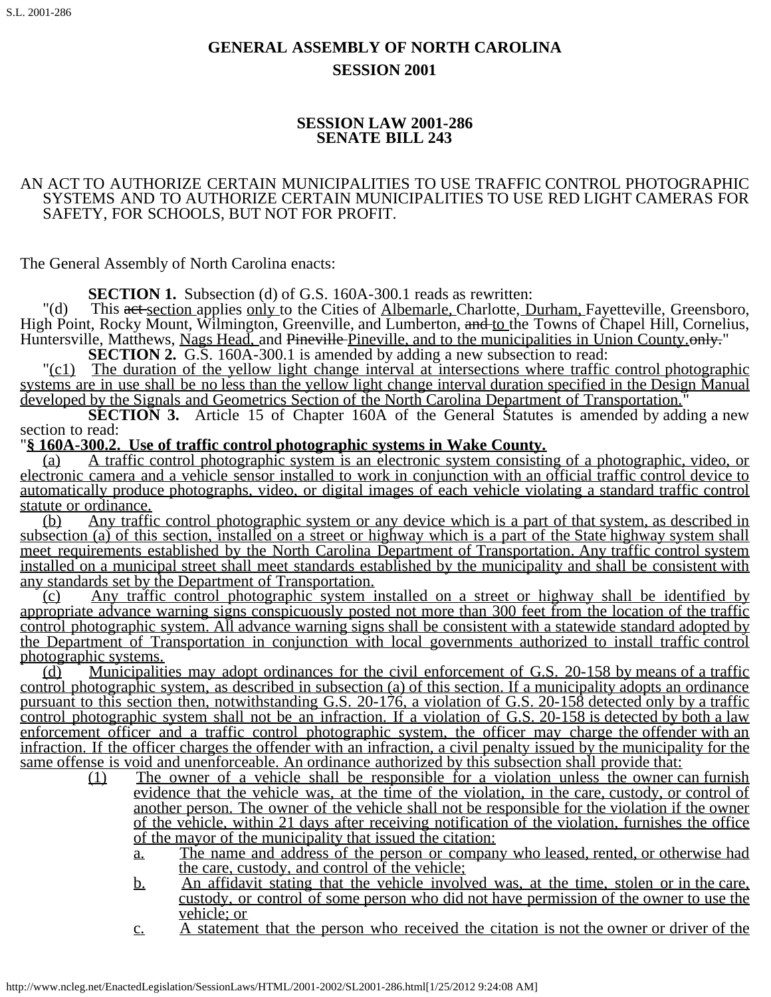# **GENERAL ASSEMBLY OF NORTH CAROLINA SESSION 2001**

## **SESSION LAW 2001-286 SENATE BILL 243**

#### AN ACT TO AUTHORIZE CERTAIN MUNICIPALITIES TO USE TRAFFIC CONTROL PHOTOGRAPHIC SYSTEMS AND TO AUTHORIZE CERTAIN MUNICIPALITIES TO USE RED LIGHT CAMERAS FOR SAFETY, FOR SCHOOLS, BUT NOT FOR PROFIT.

The General Assembly of North Carolina enacts:

**SECTION 1.** Subsection (d) of G.S. 160A-300.1 reads as rewritten:

"(d) This act section applies only to the Cities of Albemarle, Charlotte, Durham, Fayetteville, Greensboro, High Point, Rocky Mount, Wilmington, Greenville, and Lumberton, and to the Towns of Chapel Hill, Cornelius, Huntersville, Matthews, Nags Head, and Pineville-Pineville, and to the municipalities in Union County. only."<br>SECTION 2. G.S. 160A-300.1 is amended by adding a new subsection to read:<br>"(c1) The duration of the yellow light

systems are in use shall be no less than the yellow light change interval duration specified in the Design Manual developed by the Signals and Geometrics Section of the North Carolina Department of Transportation."

**SECTION 3.** Article 15 of Chapter 160A of the General Statutes is amended by adding a new section to read:

"**§ 160A-300.2. Use of traffic control photographic systems in Wake County.**

(a) A traffic control photographic system is an electronic system consisting of a photographic, video, or electronic camera and a vehicle sensor installed to work in conjunction with an official traffic control device to automatically produce photographs, video, or digital images of each vehicle violating a standard traffic control statute or ordinance.

(b) Any traffic control photographic system or any device which is a part of that system, as described in subsection (a) of this section, installed on a street or highway which is a part of the State highway system shall meet requirements established by the North Carolina Department of Transportation. Any traffic control system installed on a municipal street shall meet standards established by the municipality and shall be consistent with any standards set by the Department of Transportation.

(c) Any traffic control photographic system installed on a street or highway shall be identified by appropriate advance warning signs conspicuously posted not more than 300 feet from the location of the traffic control photographic system. All advance warning signs shall be consistent with a statewide standard adopted by the Department of Transportation in conjunction with local governments authorized to install traffic control photographic systems.

(d) Municipalities may adopt ordinances for the civil enforcement of G.S. 20-158 by means of a traffic control photographic system, as described in subsection (a) of this section. If a municipality adopts an ordinance pursuant to this section then, notwithstanding G.S. 20-176, a violation of G.S. 20-158 detected only by a traffic control photographic system shall not be an infraction. If a violation of G.S. 20-158 is detected by both a law enforcement officer and a traffic control photographic system, the officer may charge the offender with an infraction. If the officer charges the offender with an infraction, a civil penalty issued by the municipality for the same offense is void and unenforceable. An ordinance authorized by this subsection shall provide that:

- $(1)$  The owner of a vehicle shall be responsible for a violation unless the owner can furnish evidence that the vehicle was, at the time of the violation, in the care, custody, or control of another person. The owner of the vehicle shall not be responsible for the violation if the owner of the vehicle, within 21 days after receiving notification of the violation, furnishes the office of the mayor of the municipality that issued the citation:
	- a. The name and address of the person or company who leased, rented, or otherwise had the care, custody, and control of the vehicle;
	- b. An affidavit stating that the vehicle involved was, at the time, stolen or in the care, custody, or control of some person who did not have permission of the owner to use the vehicle; or
	- c. A statement that the person who received the citation is not the owner or driver of the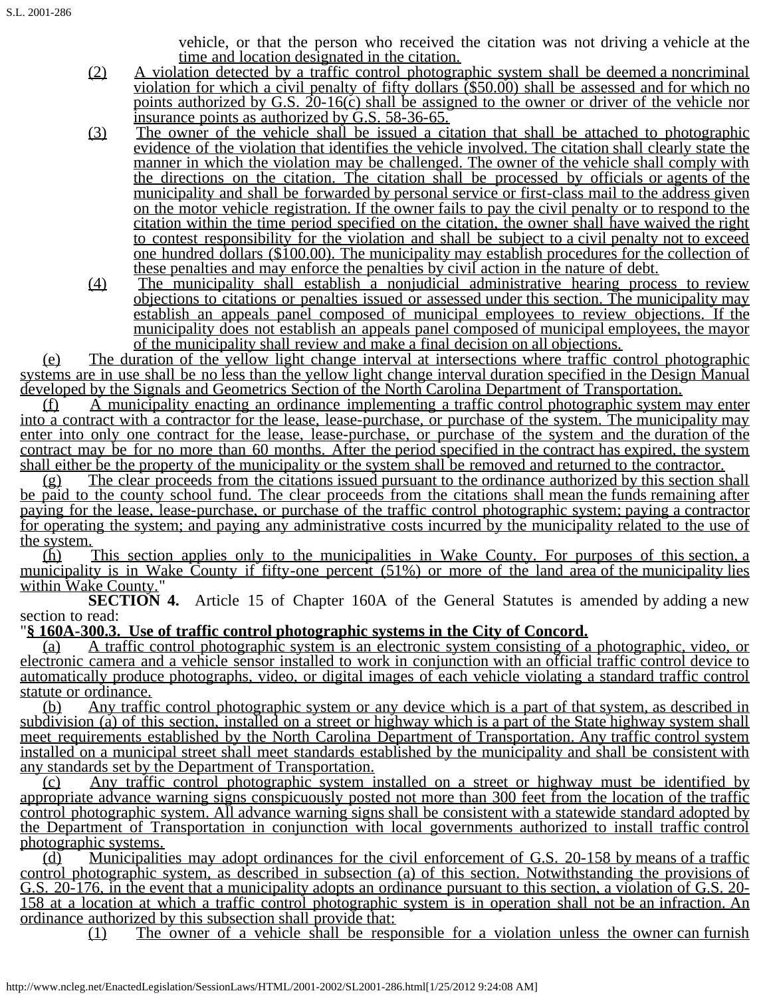vehicle, or that the person who received the citation was not driving a vehicle at the time and location designated in the citation.

- (2) A violation detected by a traffic control photographic system shall be deemed a noncriminal violation for which a civil penalty of fifty dollars (\$50.00) shall be assessed and for which no points authorized by G.S.  $20-16(c)$  shall be assigned to the owner or driver of the vehicle nor insurance points as authorized by G.S. 58-36-65.
- (3) The owner of the vehicle shall be issued a citation that shall be attached to photographic evidence of the violation that identifies the vehicle involved. The citation shall clearly state the manner in which the violation may be challenged. The owner of the vehicle shall comply with the directions on the citation. The citation shall be processed by officials or agents of the municipality and shall be forwarded by personal service or first-class mail to the address given on the motor vehicle registration. If the owner fails to pay the civil penalty or to respond to the citation within the time period specified on the citation, the owner shall have waived the right to contest responsibility for the violation and shall be subject to a civil penalty not to exceed one hundred dollars (\$100.00). The municipality may establish procedures for the collection of these penalties and may enforce the penalties by civil action in the nature of debt.
- (4) The municipality shall establish a nonjudicial administrative hearing process to review objections to citations or penalties issued or assessed under this section. The municipality may establish an appeals panel composed of municipal employees to review objections. If the municipality does not establish an appeals panel composed of municipal employees, the mayor of the municipality shall review and make a final decision on all objections.

(e) The duration of the yellow light change interval at intersections where traffic control photographic systems are in use shall be no less than the yellow light change interval duration specified in the Design Manual developed by the Signals and Geometrics Section of the North Carolina Department of Transportation.

 $(f)$  A municipality enacting an ordinance implementing a traffic control photographic system may enter into a contract with a contractor for the lease, lease-purchase, or purchase of the system. The municipality may enter into only one contract for the lease, lease-purchase, or purchase of the system and the duration of the contract may be for no more than 60 months. After the period specified in the contract has expired, the system shall either be the property of the municipality or the system shall be removed and returned to the contractor.

(g) The clear proceeds from the citations issued pursuant to the ordinance authorized by this section shall be paid to the county school fund. The clear proceeds from the citations shall mean the funds remaining after paying for the lease, lease-purchase, or purchase of the traffic control photographic system; paying a contractor for operating the system; and paying any administrative costs incurred by the municipality related to the use of the system.

(h) This section applies only to the municipalities in Wake County. For purposes of this section, a municipality is in Wake County if fifty-one percent (51%) or more of the land area of the municipality lies within Wake County."

**SECTION 4.** Article 15 of Chapter 160A of the General Statutes is amended by adding a new section to read:

"**§ 160A-300.3. Use of traffic control photographic systems in the City of Concord.**

(a) A traffic control photographic system is an electronic system consisting of a photographic, video, or electronic camera and a vehicle sensor installed to work in conjunction with an official traffic control device to automatically produce photographs, video, or digital images of each vehicle violating a standard traffic control statute or ordinance.

(b) Any traffic control photographic system or any device which is a part of that system, as described in subdivision (a) of this section, installed on a street or highway which is a part of the State highway system shall meet requirements established by the North Carolina Department of Transportation. Any traffic control system installed on a municipal street shall meet standards established by the municipality and shall be consistent with any standards set by the Department of Transportation.

(c) Any traffic control photographic system installed on a street or highway must be identified by appropriate advance warning signs conspicuously posted not more than 300 feet from the location of the traffic control photographic system. All advance warning signs shall be consistent with a statewide standard adopted by the Department of Transportation in conjunction with local governments authorized to install traffic control photographic systems.

(d) Municipalities may adopt ordinances for the civil enforcement of G.S. 20-158 by means of a traffic control photographic system, as described in subsection (a) of this section. Notwithstanding the provisions of G.S. 20-176, in the event that a municipality adopts an ordinance pursuant to this section, a violation of G.S. 20- 158 at a location at which a traffic control photographic system is in operation shall not be an infraction. An ordinance authorized by this subsection shall provide that:

(1) The owner of a vehicle shall be responsible for a violation unless the owner can furnish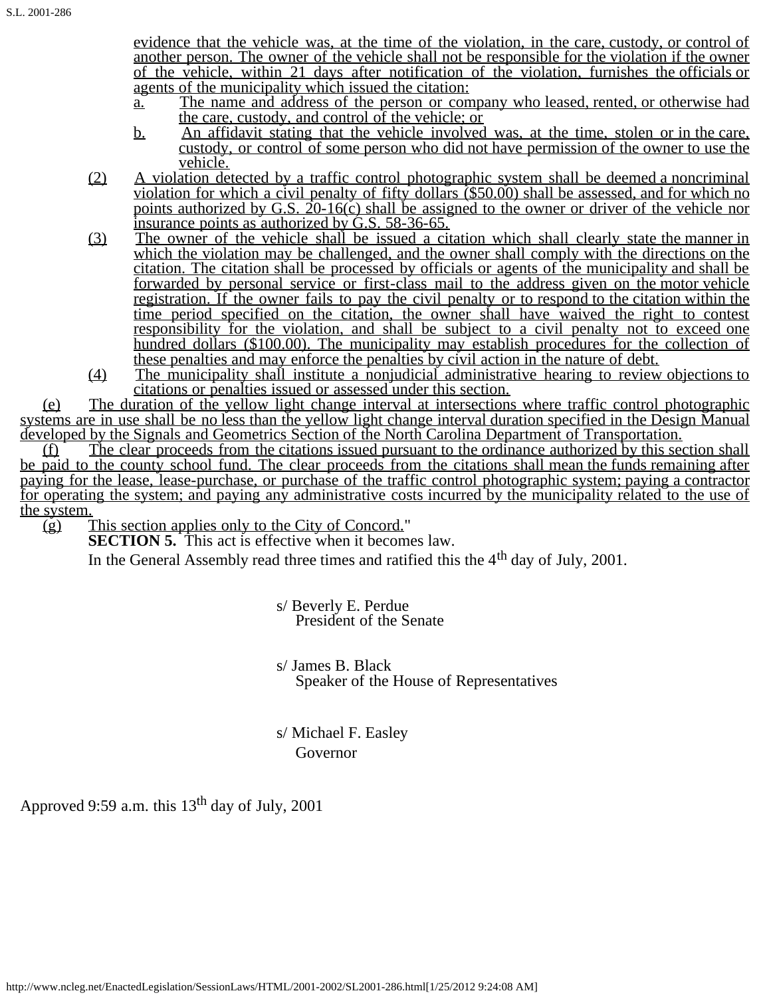evidence that the vehicle was, at the time of the violation, in the care, custody, or control of another person. The owner of the vehicle shall not be responsible for the violation if the owner of the vehicle, within 21 days after notification of the violation, furnishes the officials or agents of the municipality which issued the citation:

- a. The name and address of the person or company who leased, rented, or otherwise had the care, custody, and control of the vehicle; or
- b. An affidavit stating that the vehicle involved was, at the time, stolen or in the care, custody, or control of some person who did not have permission of the owner to use the vehicle.
- (2) A violation detected by a traffic control photographic system shall be deemed a noncriminal violation for which a civil penalty of fifty dollars (\$50.00) shall be assessed, and for which no points authorized by G.S.  $20-16(c)$  shall be assigned to the owner or driver of the vehicle nor insurance points as authorized by G.S. 58-36-65.
- (3) The owner of the vehicle shall be issued a citation which shall clearly state the manner in which the violation may be challenged, and the owner shall comply with the directions on the citation. The citation shall be processed by officials or agents of the municipality and shall be forwarded by personal service or first-class mail to the address given on the motor vehicle registration. If the owner fails to pay the civil penalty or to respond to the citation within the time period specified on the citation, the owner shall have waived the right to contest responsibility for the violation, and shall be subject to a civil penalty not to exceed one hundred dollars (\$100.00). The municipality may establish procedures for the collection of these penalties and may enforce the penalties by civil action in the nature of debt.
- (4) The municipality shall institute a nonjudicial administrative hearing to review objections to citations or penalties issued or assessed under this section.

(e) The duration of the yellow light change interval at intersections where traffic control photographic systems are in use shall be no less than the yellow light change interval duration specified in the Design Manual developed by the Signals and Geometrics Section of the North Carolina Department of Transportation.

(f) The clear proceeds from the citations issued pursuant to the ordinance authorized by this section shall be paid to the county school fund. The clear proceeds from the citations shall mean the funds remaining after paying for the lease, lease-purchase, or purchase of the traffic control photographic system; paying a contractor for operating the system; and paying any administrative costs incurred by the municipality related to the use of

the system.<br>(g) This section applies only to the City of Concord." (g) This section applies only to the City of Concord." **SECTION 5.** This act is effective when it becomes law.

In the General Assembly read three times and ratified this the  $4<sup>th</sup>$  day of July, 2001.

s/ Beverly E. Perdue<br>President of the Senate

s/ James B. Black<br>Speaker of the House of Representatives

 s/ Michael F. Easley Governor

Approved 9:59 a.m. this  $13<sup>th</sup>$  day of July, 2001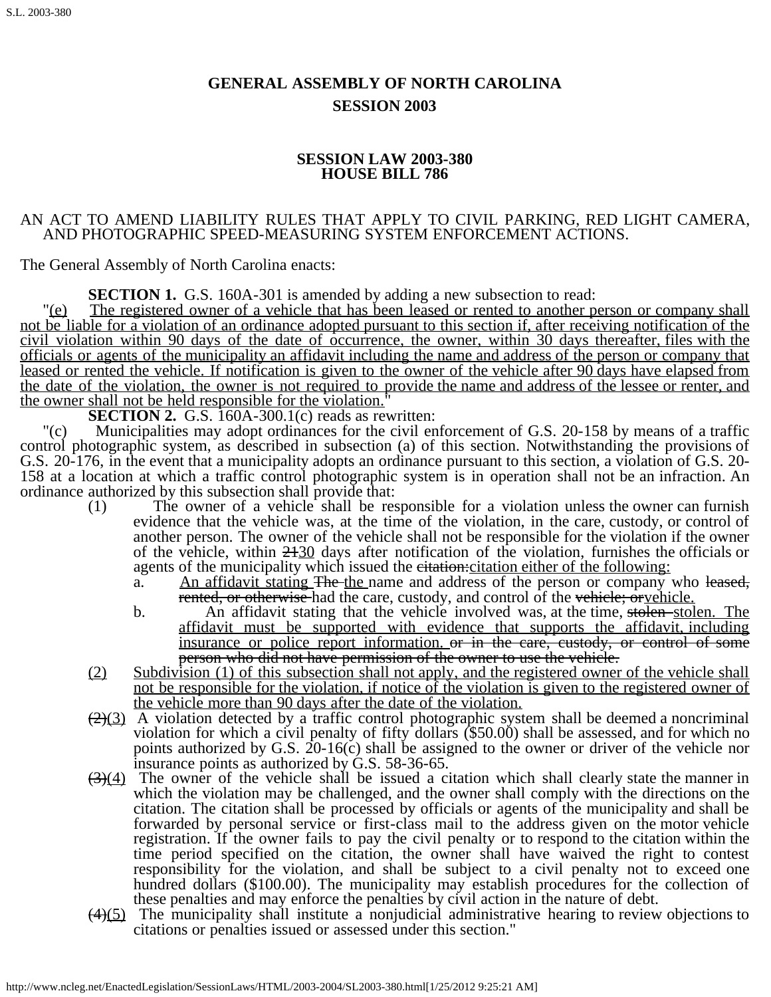# **GENERAL ASSEMBLY OF NORTH CAROLINA SESSION 2003**

## **SESSION LAW 2003-380 HOUSE BILL 786**

## AN ACT TO AMEND LIABILITY RULES THAT APPLY TO CIVIL PARKING, RED LIGHT CAMERA, AND PHOTOGRAPHIC SPEED-MEASURING SYSTEM ENFORCEMENT ACTIONS.

The General Assembly of North Carolina enacts:

**SECTION 1.** G.S. 160A-301 is amended by adding a new subsection to read:<br>"(e) The registered owner of a vehicle that has been leased or rented to another person or company shall not be liable for a violation of an ordinance adopted pursuant to this section if, after receiving notification of the civil violation within 90 days of the date of occurrence, the owner, within 30 days thereafter, files with the officials or agents of the municipality an affidavit including the name and address of the person or company that leased or rented the vehicle. If notification is given to the owner of the vehicle after 90 days have elapsed from the date of the violation, the owner is not required to provide the name and address of the lessee or renter, and the owner shall not be held responsible for the violation.<sup>"</sup><br>**SECTION 2.** G.S. 160A-300.1(c) reads as rewritten:<br>"(c) Municipalities may adopt ordinances for the civil en

Municipalities may adopt ordinances for the civil enforcement of G.S. 20-158 by means of a traffic control photographic system, as described in subsection (a) of this section. Notwithstanding the provisions of G.S. 20-176, in the event that a municipality adopts an ordinance pursuant to this section, a violation of G.S. 20- 158 at a location at which a traffic control photographic system is in operation shall not be an infraction. An ordinance authorized by this subsection shall provide that:

- (1) The owner of a vehicle shall be responsible for a violation unless the owner can furnish evidence that the vehicle was, at the time of the violation, in the care, custody, or control of another person. The owner of the vehicle shall not be responsible for the violation if the owner of the vehicle, within  $2430$  days after notification of the violation, furnishes the officials or agents of the municipality which issued the eitation: citation either of the following:
	- a. An affidavit stating The the name and address of the person or company who leased, rented, or otherwise had the care, custody, and control of the vehicle; or vehicle.
	- b. An affidavit stating that the vehicle involved was, at the time, stolen stolen. The affidavit must be supported with evidence that supports the affidavit, including insurance or police report information. or in the care, custody, or control of some person who did not have permission of the owner to use the vehicle.
- (2) Subdivision (1) of this subsection shall not apply, and the registered owner of the vehicle shall not be responsible for the violation, if notice of the violation is given to the registered owner of the vehicle more than 90 days after the date of the violation.
- $(2)(3)$  A violation detected by a traffic control photographic system shall be deemed a noncriminal violation for which a civil penalty of fifty dollars (\$50.00) shall be assessed, and for which no points authorized by G.S. 20-16(c) shall be assigned to the owner or driver of the vehicle nor insurance points as authorized by G.S. 58-36-65.
- $\left(\frac{3}{4}\right)$  The owner of the vehicle shall be issued a citation which shall clearly state the manner in which the violation may be challenged, and the owner shall comply with the directions on the citation. The citation shall be processed by officials or agents of the municipality and shall be forwarded by personal service or first-class mail to the address given on the motor vehicle registration. If the owner fails to pay the civil penalty or to respond to the citation within the time period specified on the citation, the owner shall have waived the right to contest responsibility for the violation, and shall be subject to a civil penalty not to exceed one hundred dollars (\$100.00). The municipality may establish procedures for the collection of these penalties and may enforce the penalties by civil action in the nature of debt.
- (4)(5) The municipality shall institute a nonjudicial administrative hearing to review objections to citations or penalties issued or assessed under this section."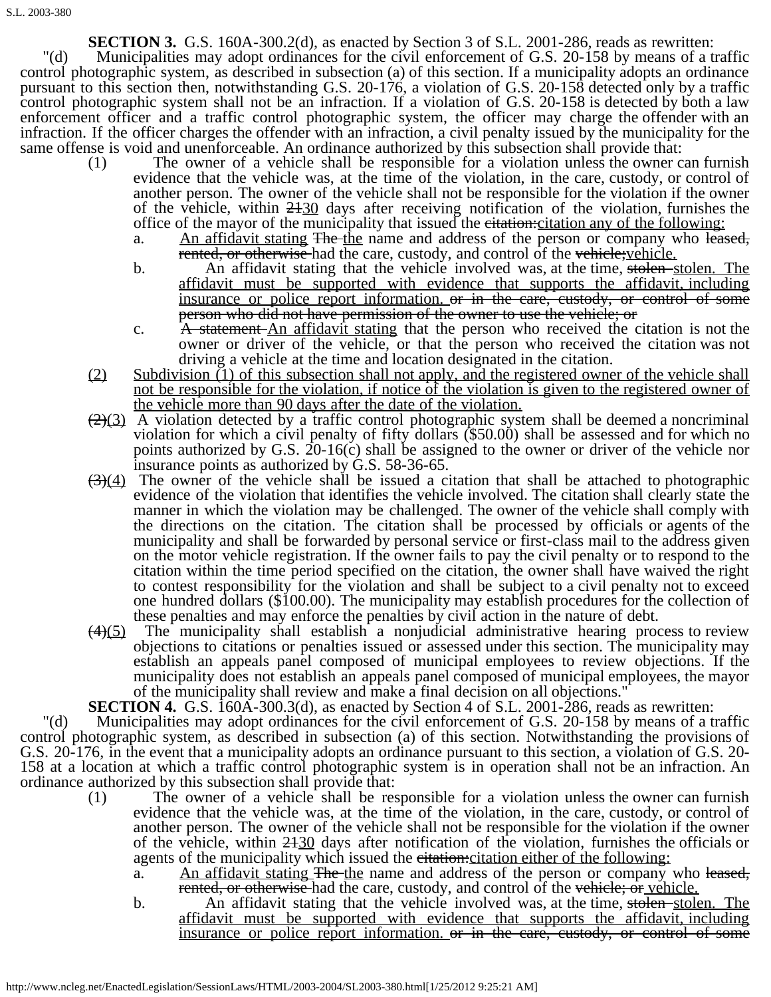**SECTION 3.** G.S. 160A-300.2(d), as enacted by Section 3 of S.L. 2001-286, reads as rewritten:

"(d) Municipalities may adopt ordinances for the civil enforcement of G.S. 20-158 by means of a traffic control photographic system, as described in subsection (a) of this section. If a municipality adopts an ordinance pursuant to this section then, notwithstanding G.S. 20-176, a violation of G.S. 20-158 detected only by a traffic control photographic system shall not be an infraction. If a violation of G.S. 20-158 is detected by both a law enforcement officer and a traffic control photographic system, the officer may charge the offender with an infraction. If the officer charges the offender with an infraction, a civil penalty issued by the municipality for the same offense is void and unenforceable. An ordinance authorized by this subsection shall provide that:

- (1) The owner of a vehicle shall be responsible for a violation unless the owner can furnish evidence that the vehicle was, at the time of the violation, in the care, custody, or control of another person. The owner of the vehicle shall not be responsible for the violation if the owner of the vehicle, within  $2430$  days after receiving notification of the violation, furnishes the office of the mayor of the municipality that issued the eitation: citation any of the following:
	- a. An affidavit stating The the name and address of the person or company who leased, rented, or otherwise had the care, custody, and control of the vehicle; vehicle.
	- b. An affidavit stating that the vehicle involved was, at the time, stolen stolen. The affidavit must be supported with evidence that supports the affidavit, including insurance or police report information, or in the care, custody, or control of some person who did not have permission of the owner to use the vehicle; or
	- c. A statement-An affidavit stating that the person who received the citation is not the owner or driver of the vehicle, or that the person who received the citation was not driving a vehicle at the time and location designated in the citation.
- (2) Subdivision (1) of this subsection shall not apply, and the registered owner of the vehicle shall not be responsible for the violation, if notice of the violation is given to the registered owner of the vehicle more than 90 days after the date of the violation.
- $(2)(3)$  A violation detected by a traffic control photographic system shall be deemed a noncriminal violation for which a civil penalty of fifty dollars (\$50.00) shall be assessed and for which no points authorized by G.S. 20-16(c) shall be assigned to the owner or driver of the vehicle nor insurance points as authorized by G.S. 58-36-65.
- $(3)(4)$  The owner of the vehicle shall be issued a citation that shall be attached to photographic evidence of the violation that identifies the vehicle involved. The citation shall clearly state the manner in which the violation may be challenged. The owner of the vehicle shall comply with the directions on the citation. The citation shall be processed by officials or agents of the municipality and shall be forwarded by personal service or first-class mail to the address given on the motor vehicle registration. If the owner fails to pay the civil penalty or to respond to the citation within the time period specified on the citation, the owner shall have waived the right to contest responsibility for the violation and shall be subject to a civil penalty not to exceed one hundred dollars (\$100.00). The municipality may establish procedures for the collection of these penalties and may enforce the penalties by civil action in the nature of debt.
- $(4)(5)$  The municipality shall establish a nonjudicial administrative hearing process to review objections to citations or penalties issued or assessed under this section. The municipality may establish an appeals panel composed of municipal employees to review objections. If the municipality does not establish an appeals panel composed of municipal employees, the mayor of the municipality shall review and make a final decision on all objections."

**SECTION 4.** G.S. 160A-300.3(d), as enacted by Section 4 of S.L. 2001-286, reads as rewritten:

"(d) Municipalities may adopt ordinances for the civil enforcement of G.S. 20-158 by means of a traffic control photographic system, as described in subsection (a) of this section. Notwithstanding the provisions of G.S. 20-176, in the event that a municipality adopts an ordinance pursuant to this section, a violation of G.S. 20- 158 at a location at which a traffic control photographic system is in operation shall not be an infraction. An ordinance authorized by this subsection shall provide that:

- (1) The owner of a vehicle shall be responsible for a violation unless the owner can furnish evidence that the vehicle was, at the time of the violation, in the care, custody, or control of another person. The owner of the vehicle shall not be responsible for the violation if the owner of the vehicle, within 2130 days after notification of the violation, furnishes the officials or agents of the municipality which issued the eitation: citation either of the following:
	- a. An affidavit stating The the name and address of the person or company who leased, rented, or otherwise had the care, custody, and control of the vehicle; or vehicle.
	- b. An affidavit stating that the vehicle involved was, at the time, stolen stolen. The affidavit must be supported with evidence that supports the affidavit, including insurance or police report information, or in the care, custody, or control of some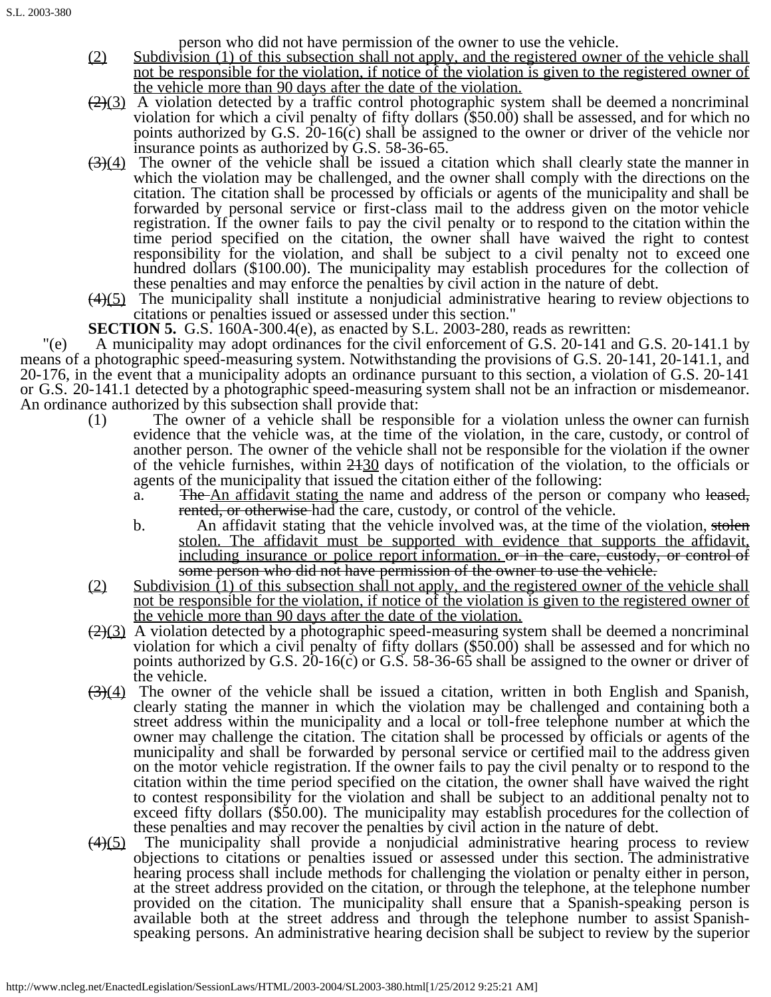person who did not have permission of the owner to use the vehicle.

- (2) Subdivision (1) of this subsection shall not apply, and the registered owner of the vehicle shall not be responsible for the violation, if notice of the violation is given to the registered owner of the vehicle more than 90 days after the date of the violation.
- $(2)(3)$  A violation detected by a traffic control photographic system shall be deemed a noncriminal violation for which a civil penalty of fifty dollars (\$50.00) shall be assessed, and for which no points authorized by G.S. 20-16(c) shall be assigned to the owner or driver of the vehicle nor insurance points as authorized by G.S. 58-36-65.
- $(3)(4)$  The owner of the vehicle shall be issued a citation which shall clearly state the manner in which the violation may be challenged, and the owner shall comply with the directions on the citation. The citation shall be processed by officials or agents of the municipality and shall be forwarded by personal service or first-class mail to the address given on the motor vehicle registration. If the owner fails to pay the civil penalty or to respond to the citation within the time period specified on the citation, the owner shall have waived the right to contest responsibility for the violation, and shall be subject to a civil penalty not to exceed one hundred dollars (\$100.00). The municipality may establish procedures for the collection of these penalties and may enforce the penalties by civil action in the nature of debt.
- $(4)(5)$  The municipality shall institute a nonjudicial administrative hearing to review objections to citations or penalties issued or assessed under this section."
- **SECTION 5.** G.S. 160A-300.4(e), as enacted by S.L. 2003-280, reads as rewritten:

"(e) A municipality may adopt ordinances for the civil enforcement of G.S. 20-141 and G.S. 20-141.1 by means of a photographic speed-measuring system. Notwithstanding the provisions of G.S. 20-141, 20-141.1, and 20-176, in the event that a municipality adopts an ordinance pursuant to this section, a violation of G.S. 20-141 or G.S. 20-141.1 detected by a photographic speed-measuring system shall not be an infraction or misdemeanor. An ordinance authorized by this subsection shall provide that:

- (1) The owner of a vehicle shall be responsible for a violation unless the owner can furnish evidence that the vehicle was, at the time of the violation, in the care, custody, or control of another person. The owner of the vehicle shall not be responsible for the violation if the owner of the vehicle furnishes, within  $2430$  days of notification of the violation, to the officials or agents of the municipality that issued the citation either of the following:
	- a. The An affidavit stating the name and address of the person or company who leased, rented, or otherwise had the care, custody, or control of the vehicle.
	- b. An affidavit stating that the vehicle involved was, at the time of the violation, stolen stolen. The affidavit must be supported with evidence that supports the affidavit, including insurance or police report information, or in the care, custody, or control of some person who did not have permission of the owner to use the vehicle.
- (2) Subdivision (1) of this subsection shall not apply, and the registered owner of the vehicle shall not be responsible for the violation, if notice of the violation is given to the registered owner of the vehicle more than 90 days after the date of the violation.
- $(2)(3)$  A violation detected by a photographic speed-measuring system shall be deemed a noncriminal violation for which a civil penalty of fifty dollars (\$50.00) shall be assessed and for which no points authorized by G.S. 20-16(c) or G.S. 58-36-65 shall be assigned to the owner or driver of the vehicle.
- $\left(\frac{3}{4}\right)$  The owner of the vehicle shall be issued a citation, written in both English and Spanish, clearly stating the manner in which the violation may be challenged and containing both a street address within the municipality and a local or toll-free telephone number at which the owner may challenge the citation. The citation shall be processed by officials or agents of the municipality and shall be forwarded by personal service or certified mail to the address given on the motor vehicle registration. If the owner fails to pay the civil penalty or to respond to the citation within the time period specified on the citation, the owner shall have waived the right to contest responsibility for the violation and shall be subject to an additional penalty not to exceed fifty dollars (\$50.00). The municipality may establish procedures for the collection of these penalties and may recover the penalties by civil action in the nature of debt.
- $(4)(5)$  The municipality shall provide a nonjudicial administrative hearing process to review objections to citations or penalties issued or assessed under this section. The administrative hearing process shall include methods for challenging the violation or penalty either in person, at the street address provided on the citation, or through the telephone, at the telephone number provided on the citation. The municipality shall ensure that a Spanish-speaking person is available both at the street address and through the telephone number to assist Spanishspeaking persons. An administrative hearing decision shall be subject to review by the superior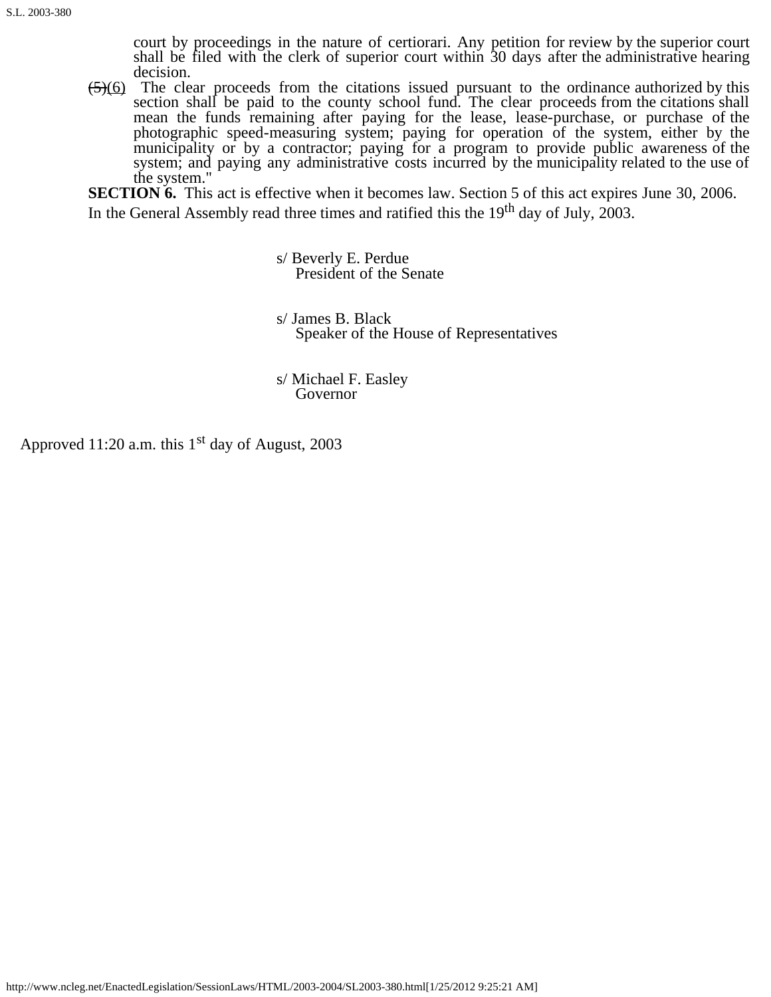court by proceedings in the nature of certiorari. Any petition for review by the superior court shall be filed with the clerk of superior court within 30 days after the administrative hearing decision.

 $\left(\frac{5}{6}\right)$  The clear proceeds from the citations issued pursuant to the ordinance authorized by this section shall be paid to the county school fund. The clear proceeds from the citations shall mean the funds remaining after paying for the lease, lease-purchase, or purchase of the photographic speed-measuring system; paying for operation of the system, either by the municipality or by a contractor; paying for a program to provide public awareness of the system; and paying any administrative costs incurred by the municipality related to the use of the system."

**SECTION 6.** This act is effective when it becomes law. Section 5 of this act expires June 30, 2006. In the General Assembly read three times and ratified this the 19<sup>th</sup> day of July, 2003.

s/ Beverly E. Perdue<br>President of the Senate

s/ James B. Black<br>Speaker of the House of Representatives

s/ Michael F. Easley Governor

Approved 11:20 a.m. this  $1<sup>st</sup>$  day of August, 2003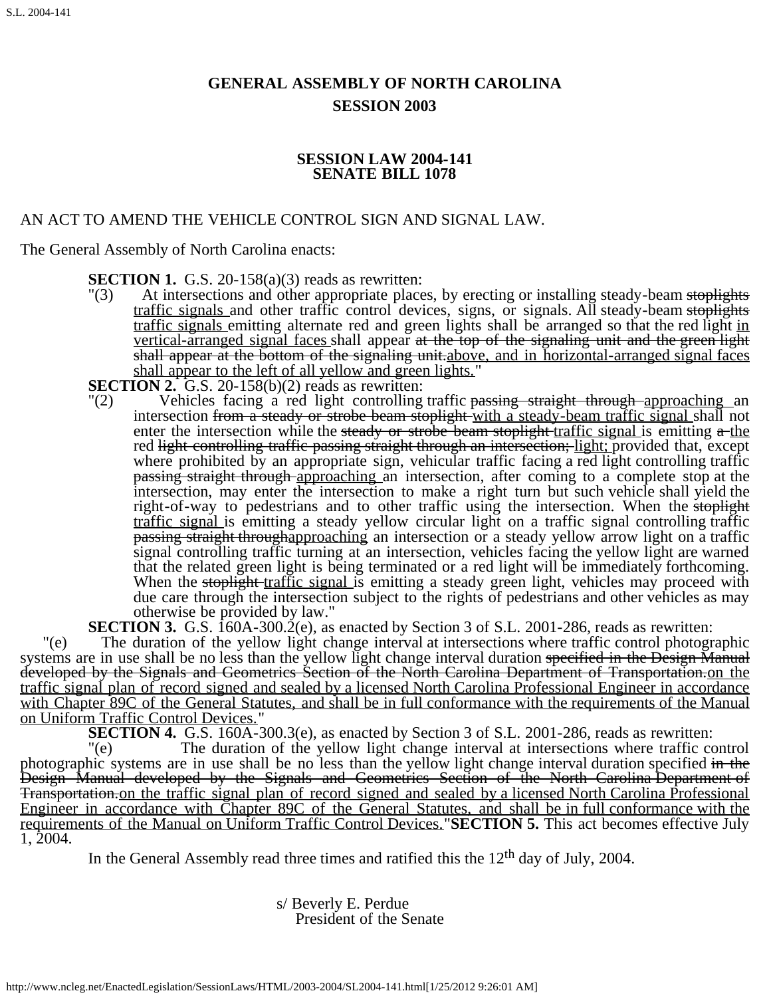# **GENERAL ASSEMBLY OF NORTH CAROLINA SESSION 2003**

## **SESSION LAW 2004-141 SENATE BILL 1078**

# AN ACT TO AMEND THE VEHICLE CONTROL SIGN AND SIGNAL LAW.

The General Assembly of North Carolina enacts:

**SECTION 1.** G.S. 20-158(a)(3) reads as rewritten:

"(3) At intersections and other appropriate places, by erecting or installing steady-beam stoplights traffic signals and other traffic control devices, signs, or signals. All steady-beam stoplights traffic signals emitting alternate red and green lights shall be arranged so that the red light in vertical-arranged signal faces shall appear at the top of the signaling unit and the green light shall appear at the bottom of the signaling unit above, and in horizontal-arranged signal faces shall appear to the left of all yellow and green lights."<br>**SECTION 2.** G.S. 20-158(b)(2) reads as rewritten:<br>"(2) Vehicles facing a red light controlling traffic po

Vehicles facing a red light controlling traffic passing straight through approaching an intersection from a steady or strobe beam stoplight with a steady-beam traffic signal shall not enter the intersection while the steady or strobe beam stoplight traffic signal is emitting  $a$ -the red light controlling traffic passing straight through an intersection; light; provided that, except where prohibited by an appropriate sign, vehicular traffic facing a red light controlling traffic passing straight through approaching an intersection, after coming to a complete stop at the intersection, may enter the intersection to make a right turn but such vehicle shall yield the right-of-way to pedestrians and to other traffic using the intersection. When the stoplight traffic signal is emitting a steady yellow circular light on a traffic signal controlling traffic passing straight throughapproaching an intersection or a steady yellow arrow light on a traffic signal controlling traffic turning at an intersection, vehicles facing the yellow light are warned that the related green light is being terminated or a red light will be immediately forthcoming. When the stoplight traffic signal is emitting a steady green light, vehicles may proceed with due care through the intersection subject to the rights of pedestrians and other vehicles as may otherwise be provided by law."

**SECTION 3.** G.S. 160A-300.2(e), as enacted by Section 3 of S.L. 2001-286, reads as rewritten:

"(e) The duration of the yellow light change interval at intersections where traffic control photographic systems are in use shall be no less than the yellow light change interval duration specified in the Design Manual developed by the Signals and Geometrics Section of the North Carolina Department of Transportation.on the traffic signal plan of record signed and sealed by a licensed North Carolina Professional Engineer in accordance with Chapter 89C of the General Statutes, and shall be in full conformance with the requirements of the Manual on Uniform Traffic Control Devices." **SECTION 4.** G.S. 160A-300.3(e), as enacted by Section 3 of S.L. 2001-286, reads as rewritten:

"(e) The duration of the yellow light change interval at intersections where traffic control photographic systems are in use shall be no less than the yellow light change interval duration specified in the Design Manual developed by the Signals and Geometrics Section of the North Carolina Department of Transportation.on the traffic signal plan of record signed and sealed by a licensed North Carolina Professional Engineer in accordance with Chapter 89C of the General Statutes, and shall be in full conformance with the requirements of the Manual on Uniform Traffic Control Devices."**SECTION 5.** This act becomes effective July 1, 2004.

In the General Assembly read three times and ratified this the  $12<sup>th</sup>$  day of July, 2004.

s/ Beverly E. Perdue<br>President of the Senate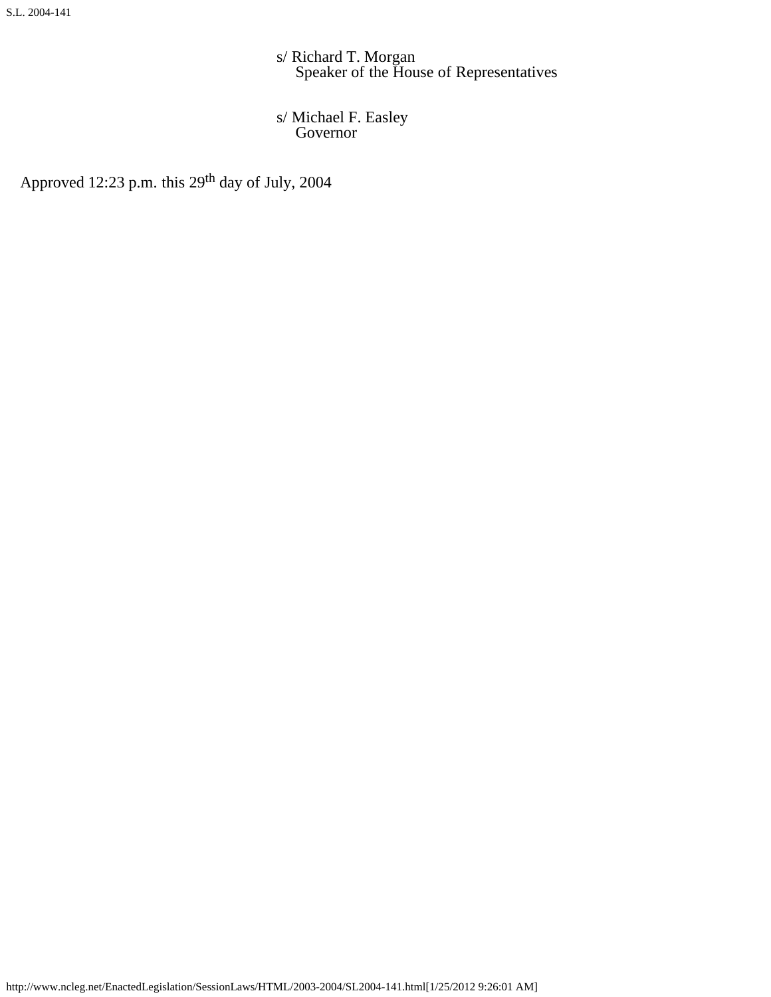s/ Richard T. Morgan<br>Speaker of the House of Representatives

s/ Michael F. Easley Governor

Approved 12:23 p.m. this 29<sup>th</sup> day of July, 2004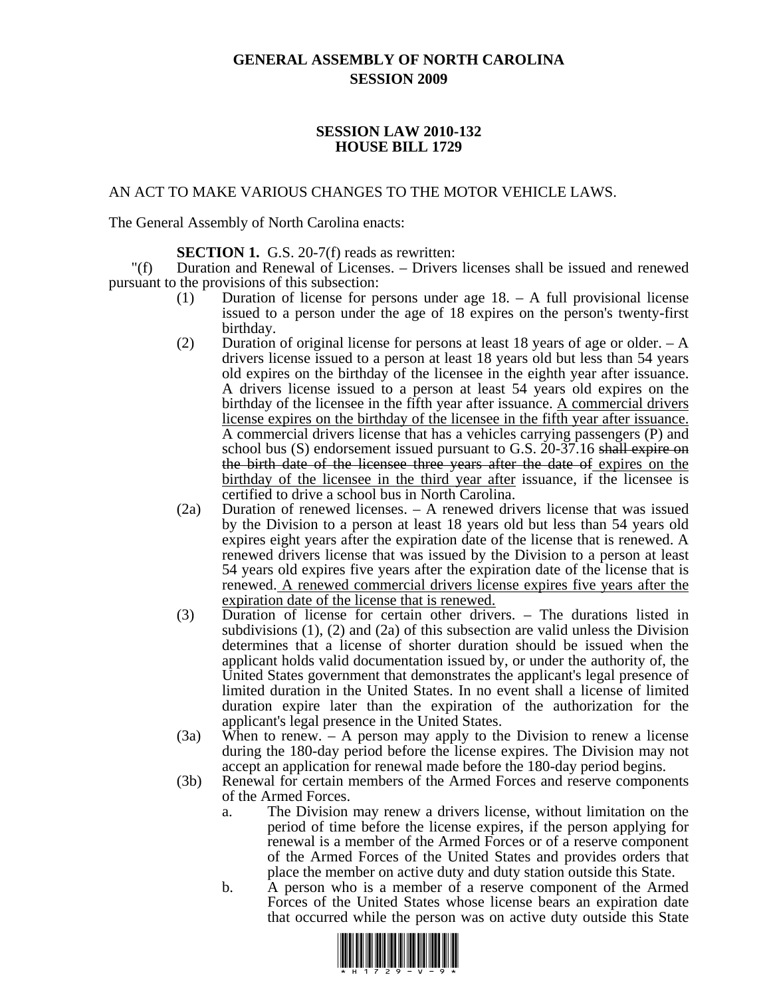# **GENERAL ASSEMBLY OF NORTH CAROLINA SESSION 2009**

#### **SESSION LAW 2010-132 HOUSE BILL 1729**

#### AN ACT TO MAKE VARIOUS CHANGES TO THE MOTOR VEHICLE LAWS.

The General Assembly of North Carolina enacts:

#### **SECTION 1.** G.S. 20-7(f) reads as rewritten:

"(f) Duration and Renewal of Licenses. – Drivers licenses shall be issued and renewed pursuant to the provisions of this subsection:

- (1) Duration of license for persons under age 18. A full provisional license issued to a person under the age of 18 expires on the person's twenty-first birthday.
- (2) Duration of original license for persons at least 18 years of age or older. A drivers license issued to a person at least 18 years old but less than 54 years old expires on the birthday of the licensee in the eighth year after issuance. A drivers license issued to a person at least 54 years old expires on the birthday of the licensee in the fifth year after issuance. A commercial drivers license expires on the birthday of the licensee in the fifth year after issuance. A commercial drivers license that has a vehicles carrying passengers (P) and school bus (S) endorsement issued pursuant to G.S. 20-37.16 shall expire on the birth date of the licensee three years after the date of expires on the birthday of the licensee in the third year after issuance, if the licensee is certified to drive a school bus in North Carolina.
- (2a) Duration of renewed licenses. A renewed drivers license that was issued by the Division to a person at least 18 years old but less than 54 years old expires eight years after the expiration date of the license that is renewed. A renewed drivers license that was issued by the Division to a person at least 54 years old expires five years after the expiration date of the license that is renewed. A renewed commercial drivers license expires five years after the expiration date of the license that is renewed.<br>
(3) Duration of license for certain other drivers. – The durations listed in
- subdivisions (1), (2) and (2a) of this subsection are valid unless the Division determines that a license of shorter duration should be issued when the applicant holds valid documentation issued by, or under the authority of, the United States government that demonstrates the applicant's legal presence of limited duration in the United States. In no event shall a license of limited duration expire later than the expiration of the authorization for the applicant's legal presence in the United States.
- (3a) When to renew. A person may apply to the Division to renew a license during the 180-day period before the license expires. The Division may not accept an application for renewal made before the 180-day period begins.
- (3b) Renewal for certain members of the Armed Forces and reserve components of the Armed Forces.
	- a. The Division may renew a drivers license, without limitation on the period of time before the license expires, if the person applying for renewal is a member of the Armed Forces or of a reserve component of the Armed Forces of the United States and provides orders that place the member on active duty and duty station outside this State.
	- b. A person who is a member of a reserve component of the Armed Forces of the United States whose license bears an expiration date that occurred while the person was on active duty outside this State

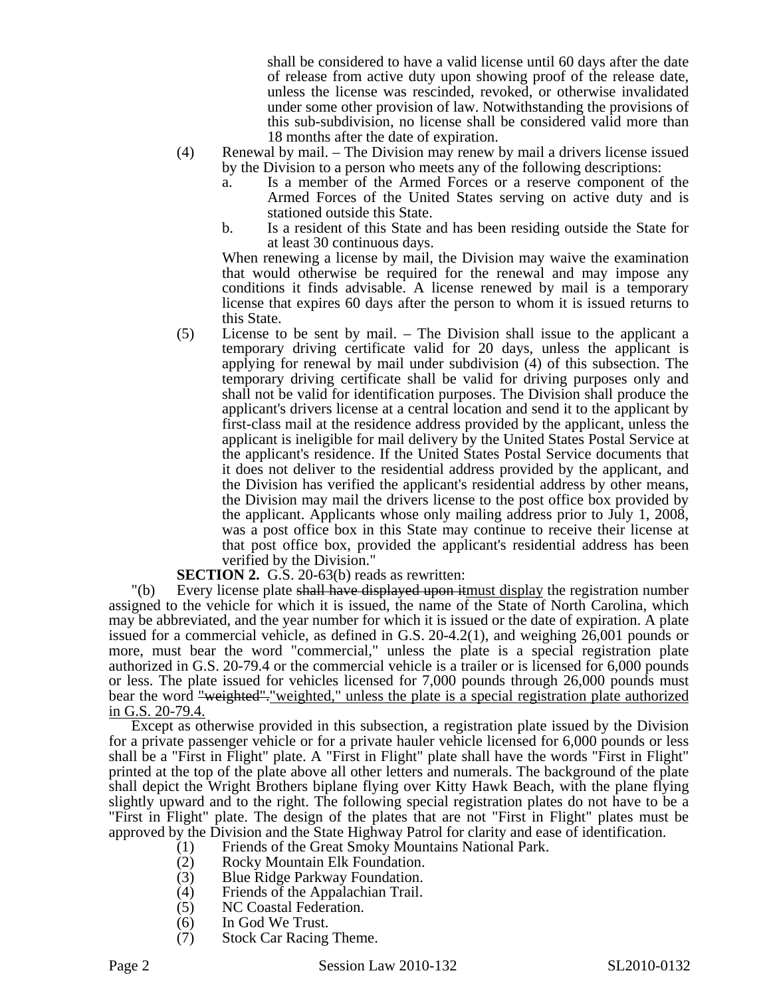shall be considered to have a valid license until 60 days after the date of release from active duty upon showing proof of the release date, unless the license was rescinded, revoked, or otherwise invalidated under some other provision of law. Notwithstanding the provisions of this sub-subdivision, no license shall be considered valid more than 18 months after the date of expiration.

- (4) Renewal by mail. The Division may renew by mail a drivers license issued by the Division to a person who meets any of the following descriptions:
	- a. Is a member of the Armed Forces or a reserve component of the Armed Forces of the United States serving on active duty and is stationed outside this State.
	- b. Is a resident of this State and has been residing outside the State for at least 30 continuous days.

When renewing a license by mail, the Division may waive the examination that would otherwise be required for the renewal and may impose any conditions it finds advisable. A license renewed by mail is a temporary license that expires 60 days after the person to whom it is issued returns to this State.

(5) License to be sent by mail. – The Division shall issue to the applicant a temporary driving certificate valid for 20 days, unless the applicant is applying for renewal by mail under subdivision (4) of this subsection. The temporary driving certificate shall be valid for driving purposes only and shall not be valid for identification purposes. The Division shall produce the applicant's drivers license at a central location and send it to the applicant by first-class mail at the residence address provided by the applicant, unless the applicant is ineligible for mail delivery by the United States Postal Service at the applicant's residence. If the United States Postal Service documents that it does not deliver to the residential address provided by the applicant, and the Division has verified the applicant's residential address by other means, the Division may mail the drivers license to the post office box provided by the applicant. Applicants whose only mailing address prior to July 1, 2008, was a post office box in this State may continue to receive their license at that post office box, provided the applicant's residential address has been verified by the Division."

#### **SECTION 2.** G.S. 20-63(b) reads as rewritten:

"(b) Every license plate shall have displayed upon itmust display the registration number assigned to the vehicle for which it is issued, the name of the State of North Carolina, which may be abbreviated, and the year number for which it is issued or the date of expiration. A plate issued for a commercial vehicle, as defined in G.S. 20-4.2(1), and weighing 26,001 pounds or more, must bear the word "commercial," unless the plate is a special registration plate authorized in G.S. 20-79.4 or the commercial vehicle is a trailer or is licensed for 6,000 pounds or less. The plate issued for vehicles licensed for 7,000 pounds through 26,000 pounds must bear the word "weighted". "weighted," unless the plate is a special registration plate authorized in G.S. 20-79.4.

Except as otherwise provided in this subsection, a registration plate issued by the Division for a private passenger vehicle or for a private hauler vehicle licensed for 6,000 pounds or less shall be a "First in Flight" plate. A "First in Flight" plate shall have the words "First in Flight" printed at the top of the plate above all other letters and numerals. The background of the plate shall depict the Wright Brothers biplane flying over Kitty Hawk Beach, with the plane flying slightly upward and to the right. The following special registration plates do not have to be a "First in Flight" plate. The design of the plates that are not "First in Flight" plates must be approved by the Division and the State Highway Patrol for clarity and ease of identification.

- (1) Friends of the Great Smoky Mountains National Park.<br>
(2) Rocky Mountain Elk Foundation.
	- Rocky Mountain Elk Foundation.
	-
	- (3) Blue Ridge Parkway Foundation.<br>(4) Friends of the Appalachian Trail. Friends of the Appalachian Trail.
	- (5) NC Coastal Federation.<br>(6) In God We Trust.
- In God We Trust.
- (7) Stock Car Racing Theme.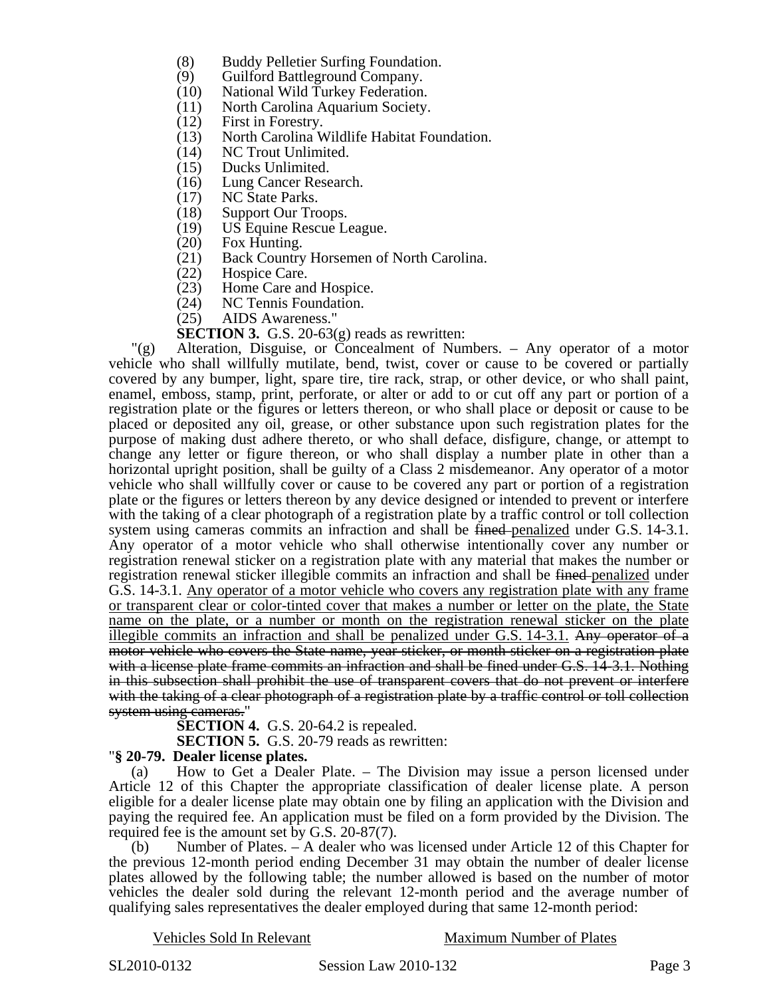- (8) Buddy Pelletier Surfing Foundation.
- (9) Guilford Battleground Company.
- (10) National Wild Turkey Federation.
- (11) North Carolina Aquarium Society.
- (12) First in Forestry.
- (13) North Carolina Wildlife Habitat Foundation.
- (14) NC Trout Unlimited.
- (15) Ducks Unlimited.
- (16) Lung Cancer Research.
- (17) NC State Parks.
- (18) Support Our Troops.<br>(19) US Equine Rescue L
- (19) US Equine Rescue League.<br>(20) Fox Hunting.
- (20) Fox Hunting.<br>(21) Back Country
- Back Country Horsemen of North Carolina.
- (22) Hospice Care.<br>(23) Home Care an
- Home Care and Hospice.
- (24) NC Tennis Foundation.
- (25) AIDS Awareness."

**SECTION 3.** G.S. 20-63(g) reads as rewritten:

"(g) Alteration, Disguise, or Concealment of Numbers. – Any operator of a motor vehicle who shall willfully mutilate, bend, twist, cover or cause to be covered or partially covered by any bumper, light, spare tire, tire rack, strap, or other device, or who shall paint, enamel, emboss, stamp, print, perforate, or alter or add to or cut off any part or portion of a registration plate or the figures or letters thereon, or who shall place or deposit or cause to be placed or deposited any oil, grease, or other substance upon such registration plates for the purpose of making dust adhere thereto, or who shall deface, disfigure, change, or attempt to change any letter or figure thereon, or who shall display a number plate in other than a horizontal upright position, shall be guilty of a Class 2 misdemeanor. Any operator of a motor vehicle who shall willfully cover or cause to be covered any part or portion of a registration plate or the figures or letters thereon by any device designed or intended to prevent or interfere with the taking of a clear photograph of a registration plate by a traffic control or toll collection system using cameras commits an infraction and shall be fined-penalized under G.S. 14-3.1. Any operator of a motor vehicle who shall otherwise intentionally cover any number or registration renewal sticker on a registration plate with any material that makes the number or registration renewal sticker illegible commits an infraction and shall be fined penalized under G.S. 14-3.1. Any operator of a motor vehicle who covers any registration plate with any frame or transparent clear or color-tinted cover that makes a number or letter on the plate, the State name on the plate, or a number or month on the registration renewal sticker on the plate illegible commits an infraction and shall be penalized under G.S.  $14-3.1$ . Any operator of a motor vehicle who covers the State name, year sticker, or month sticker on a registration plate with a license plate frame commits an infraction and shall be fined under G.S. 14-3.1. Nothing in this subsection shall prohibit the use of transparent covers that do not prevent or interfere with the taking of a clear photograph of a registration plate by a traffic control or toll collection system using cameras."

**SECTION 4.** G.S. 20-64.2 is repealed.

**SECTION 5.** G.S. 20-79 reads as rewritten:

#### "**§ 20-79. Dealer license plates.**

(a) How to Get a Dealer Plate. – The Division may issue a person licensed under Article 12 of this Chapter the appropriate classification of dealer license plate. A person eligible for a dealer license plate may obtain one by filing an application with the Division and paying the required fee. An application must be filed on a form provided by the Division. The required fee is the amount set by G.S. 20-87(7).

(b) Number of Plates. – A dealer who was licensed under Article 12 of this Chapter for the previous 12-month period ending December 31 may obtain the number of dealer license plates allowed by the following table; the number allowed is based on the number of motor vehicles the dealer sold during the relevant 12-month period and the average number of qualifying sales representatives the dealer employed during that same 12-month period:

Vehicles Sold In Relevant Maximum Number of Plates

SL2010-0132 **Session Law 2010-132** Page 3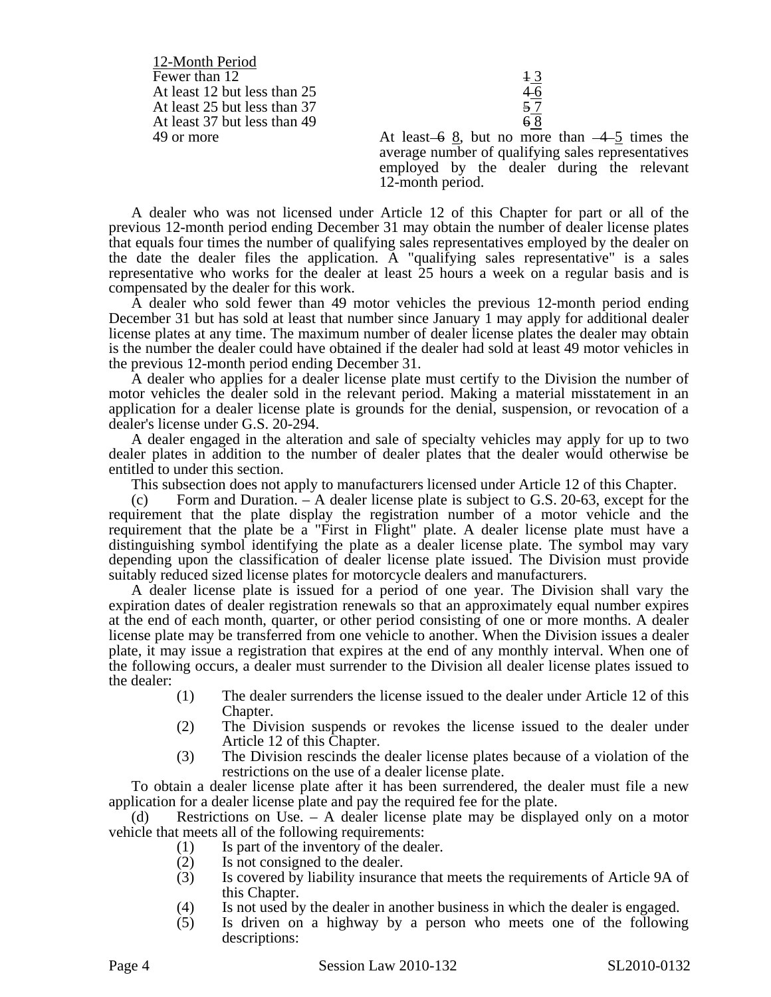12-Month Period Fewer than 12<br>At least 12 but less than 25<br>At least 25 but less than 37<br>57 At least  $12$  but less than  $25$ At least 25 but less than 37 At least 37 but less than  $49 \t\t 68$ 

49 or more At least  $-6$  8, but no more than  $-4$  5 times the average number of qualifying sales representatives employed by the dealer during the relevant 12-month period.

A dealer who was not licensed under Article 12 of this Chapter for part or all of the previous 12-month period ending December 31 may obtain the number of dealer license plates that equals four times the number of qualifying sales representatives employed by the dealer on the date the dealer files the application. A "qualifying sales representative" is a sales representative who works for the dealer at least 25 hours a week on a regular basis and is compensated by the dealer for this work.

A dealer who sold fewer than 49 motor vehicles the previous 12-month period ending December 31 but has sold at least that number since January 1 may apply for additional dealer license plates at any time. The maximum number of dealer license plates the dealer may obtain is the number the dealer could have obtained if the dealer had sold at least 49 motor vehicles in the previous 12-month period ending December 31.

A dealer who applies for a dealer license plate must certify to the Division the number of motor vehicles the dealer sold in the relevant period. Making a material misstatement in an application for a dealer license plate is grounds for the denial, suspension, or revocation of a dealer's license under G.S. 20-294.

A dealer engaged in the alteration and sale of specialty vehicles may apply for up to two dealer plates in addition to the number of dealer plates that the dealer would otherwise be entitled to under this section.

This subsection does not apply to manufacturers licensed under Article 12 of this Chapter.

(c) Form and Duration. – A dealer license plate is subject to G.S. 20-63, except for the requirement that the plate display the registration number of a motor vehicle and the requirement that the plate be a "First in Flight" plate. A dealer license plate must have a distinguishing symbol identifying the plate as a dealer license plate. The symbol may vary depending upon the classification of dealer license plate issued. The Division must provide suitably reduced sized license plates for motorcycle dealers and manufacturers.

A dealer license plate is issued for a period of one year. The Division shall vary the expiration dates of dealer registration renewals so that an approximately equal number expires at the end of each month, quarter, or other period consisting of one or more months. A dealer license plate may be transferred from one vehicle to another. When the Division issues a dealer plate, it may issue a registration that expires at the end of any monthly interval. When one of the following occurs, a dealer must surrender to the Division all dealer license plates issued to the dealer:

- (1) The dealer surrenders the license issued to the dealer under Article 12 of this Chapter.
- (2) The Division suspends or revokes the license issued to the dealer under Article 12 of this Chapter.
- (3) The Division rescinds the dealer license plates because of a violation of the restrictions on the use of a dealer license plate.

To obtain a dealer license plate after it has been surrendered, the dealer must file a new application for a dealer license plate and pay the required fee for the plate.

Restrictions on Use. – A dealer license plate may be displayed only on a motor vehicle that meets all of the following requirements:

- (1) Is part of the inventory of the dealer.
- (2) Is not consigned to the dealer.
- (3) Is covered by liability insurance that meets the requirements of Article 9A of this Chapter.
- (4) Is not used by the dealer in another business in which the dealer is engaged.<br>(5) Is driven on a highway by a person who meets one of the following
- Is driven on a highway by a person who meets one of the following descriptions:

Page 4 Session Law 2010-132 SL2010-0132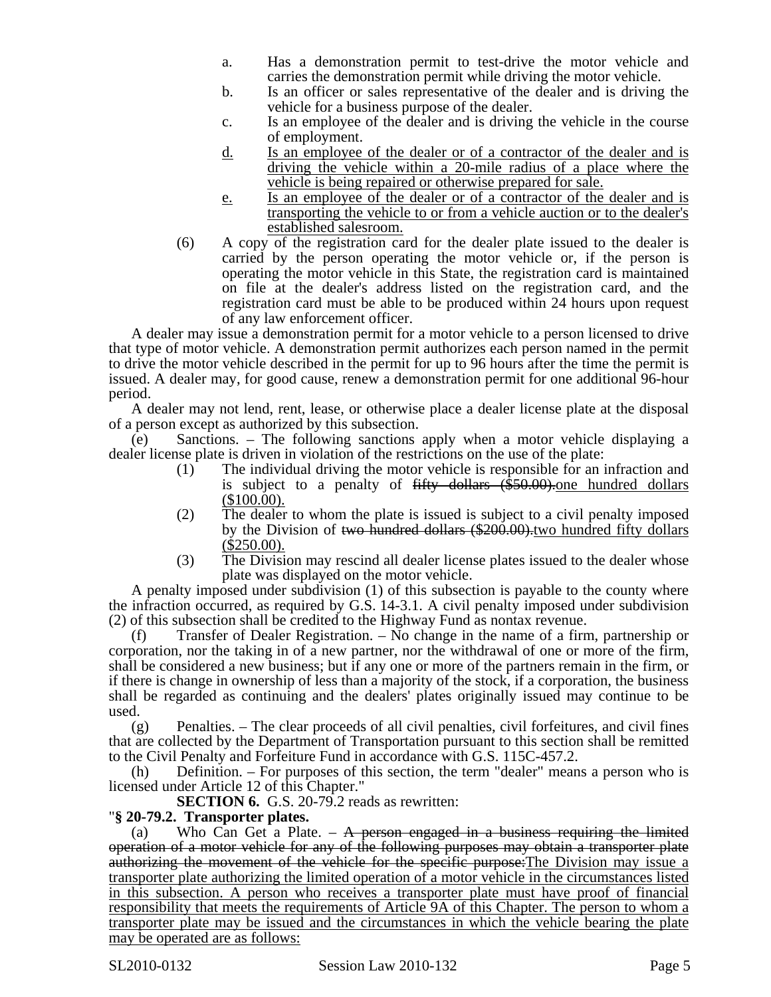- a. Has a demonstration permit to test-drive the motor vehicle and carries the demonstration permit while driving the motor vehicle.
- b. Is an officer or sales representative of the dealer and is driving the vehicle for a business purpose of the dealer.
- c. Is an employee of the dealer and is driving the vehicle in the course of employment.
- d. Is an employee of the dealer or of a contractor of the dealer and is driving the vehicle within a 20-mile radius of a place where the vehicle is being repaired or otherwise prepared for sale.
- e. Is an employee of the dealer or of a contractor of the dealer and is transporting the vehicle to or from a vehicle auction or to the dealer's established salesroom.
- (6) A copy of the registration card for the dealer plate issued to the dealer is carried by the person operating the motor vehicle or, if the person is operating the motor vehicle in this State, the registration card is maintained on file at the dealer's address listed on the registration card, and the registration card must be able to be produced within 24 hours upon request of any law enforcement officer.

A dealer may issue a demonstration permit for a motor vehicle to a person licensed to drive that type of motor vehicle. A demonstration permit authorizes each person named in the permit to drive the motor vehicle described in the permit for up to 96 hours after the time the permit is issued. A dealer may, for good cause, renew a demonstration permit for one additional 96-hour period.

A dealer may not lend, rent, lease, or otherwise place a dealer license plate at the disposal of a person except as authorized by this subsection.

(e) Sanctions. – The following sanctions apply when a motor vehicle displaying a dealer license plate is driven in violation of the restrictions on the use of the plate:

- (1) The individual driving the motor vehicle is responsible for an infraction and is subject to a penalty of  $\frac{f}{f}$  fifty dollars ( $\frac{f}{f}$  50.00). One hundred dollars (\$100.00).
- (2) The dealer to whom the plate is issued is subject to a civil penalty imposed by the Division of two hundred dollars (\$200.00).two hundred fifty dollars (\$250.00).
- (3) The Division may rescind all dealer license plates issued to the dealer whose plate was displayed on the motor vehicle.

A penalty imposed under subdivision (1) of this subsection is payable to the county where the infraction occurred, as required by G.S. 14-3.1. A civil penalty imposed under subdivision (2) of this subsection shall be credited to the Highway Fund as nontax revenue.

(f) Transfer of Dealer Registration. – No change in the name of a firm, partnership or corporation, nor the taking in of a new partner, nor the withdrawal of one or more of the firm, shall be considered a new business; but if any one or more of the partners remain in the firm, or if there is change in ownership of less than a majority of the stock, if a corporation, the business shall be regarded as continuing and the dealers' plates originally issued may continue to be used.

(g) Penalties. – The clear proceeds of all civil penalties, civil forfeitures, and civil fines that are collected by the Department of Transportation pursuant to this section shall be remitted to the Civil Penalty and Forfeiture Fund in accordance with G.S. 115C-457.2.

(h) Definition. – For purposes of this section, the term "dealer" means a person who is licensed under Article 12 of this Chapter."

**SECTION 6.** G.S. 20-79.2 reads as rewritten:

## "**§ 20-79.2. Transporter plates.**

(a) Who Can Get a Plate.  $-$  A person engaged in a business requiring the limited operation of a motor vehicle for any of the following purposes may obtain a transporter plate authorizing the movement of the vehicle for the specific purpose:The Division may issue a transporter plate authorizing the limited operation of a motor vehicle in the circumstances listed in this subsection. A person who receives a transporter plate must have proof of financial responsibility that meets the requirements of Article 9A of this Chapter. The person to whom a transporter plate may be issued and the circumstances in which the vehicle bearing the plate may be operated are as follows: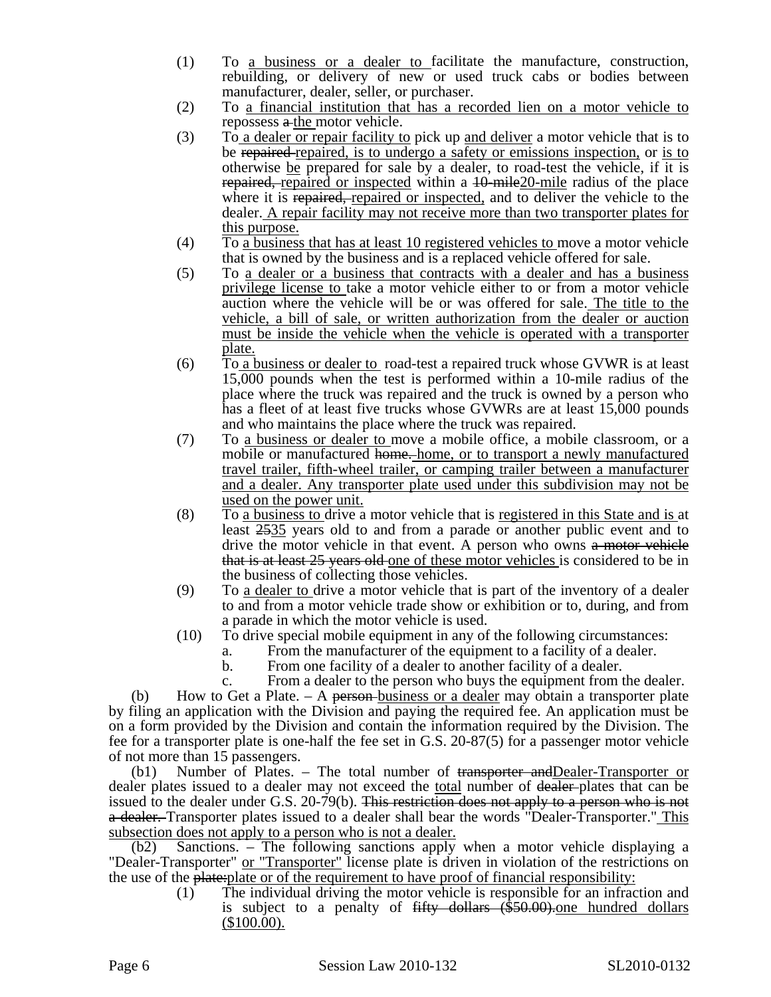- (1) To a business or a dealer to facilitate the manufacture, construction, rebuilding, or delivery of new or used truck cabs or bodies between manufacturer, dealer, seller, or purchaser.
- (2) To a financial institution that has a recorded lien on a motor vehicle to repossess a the motor vehicle.
- (3) To a dealer or repair facility to pick up and deliver a motor vehicle that is to be repaired repaired, is to undergo a safety or emissions inspection, or is to otherwise be prepared for sale by a dealer, to road-test the vehicle, if it is repaired, repaired or inspected within a 10-mile20-mile radius of the place where it is repaired, repaired or inspected, and to deliver the vehicle to the dealer. A repair facility may not receive more than two transporter plates for this purpose.
- (4) To a business that has at least 10 registered vehicles to move a motor vehicle that is owned by the business and is a replaced vehicle offered for sale.
- (5) To a dealer or a business that contracts with a dealer and has a business privilege license to take a motor vehicle either to or from a motor vehicle auction where the vehicle will be or was offered for sale. The title to the vehicle, a bill of sale, or written authorization from the dealer or auction must be inside the vehicle when the vehicle is operated with a transporter plate.
- (6) To a business or dealer to road-test a repaired truck whose GVWR is at least 15,000 pounds when the test is performed within a 10-mile radius of the place where the truck was repaired and the truck is owned by a person who has a fleet of at least five trucks whose GVWRs are at least 15,000 pounds and who maintains the place where the truck was repaired.
- (7) To a business or dealer to move a mobile office, a mobile classroom, or a mobile or manufactured home. home, or to transport a newly manufactured travel trailer, fifth-wheel trailer, or camping trailer between a manufacturer and a dealer. Any transporter plate used under this subdivision may not be used on the power unit.
- (8) To a business to drive a motor vehicle that is registered in this State and is at least 2535 years old to and from a parade or another public event and to drive the motor vehicle in that event. A person who owns a motor vehicle that is at least 25 years old one of these motor vehicles is considered to be in the business of collecting those vehicles.
- (9) To a dealer to drive a motor vehicle that is part of the inventory of a dealer to and from a motor vehicle trade show or exhibition or to, during, and from a parade in which the motor vehicle is used.
- (10) To drive special mobile equipment in any of the following circumstances:
	- a. From the manufacturer of the equipment to a facility of a dealer.
	- b. From one facility of a dealer to another facility of a dealer.
	- c. From a dealer to the person who buys the equipment from the dealer.

(b) How to Get a Plate.  $-$  A <del>person</del>-business or a dealer may obtain a transporter plate by filing an application with the Division and paying the required fee. An application must be on a form provided by the Division and contain the information required by the Division. The fee for a transporter plate is one-half the fee set in G.S. 20-87(5) for a passenger motor vehicle of not more than 15 passengers.

(b1) Number of Plates. – The total number of  $t$ <del>ransporter and Dealer-Transporter or</del> dealer plates issued to a dealer may not exceed the total number of dealer-plates that can be issued to the dealer under G.S. 20-79(b). This restriction does not apply to a person who is not a dealer. Transporter plates issued to a dealer shall bear the words "Dealer-Transporter." This subsection does not apply to a person who is not a dealer.

(b2) Sanctions. – The following sanctions apply when a motor vehicle displaying a "Dealer-Transporter" or "Transporter" license plate is driven in violation of the restrictions on the use of the plate: plate or of the requirement to have proof of financial responsibility:

(1) The individual driving the motor vehicle is responsible for an infraction and is subject to a penalty of <del>fifty dollars (\$50.00)</del>, one hundred dollars (\$100.00).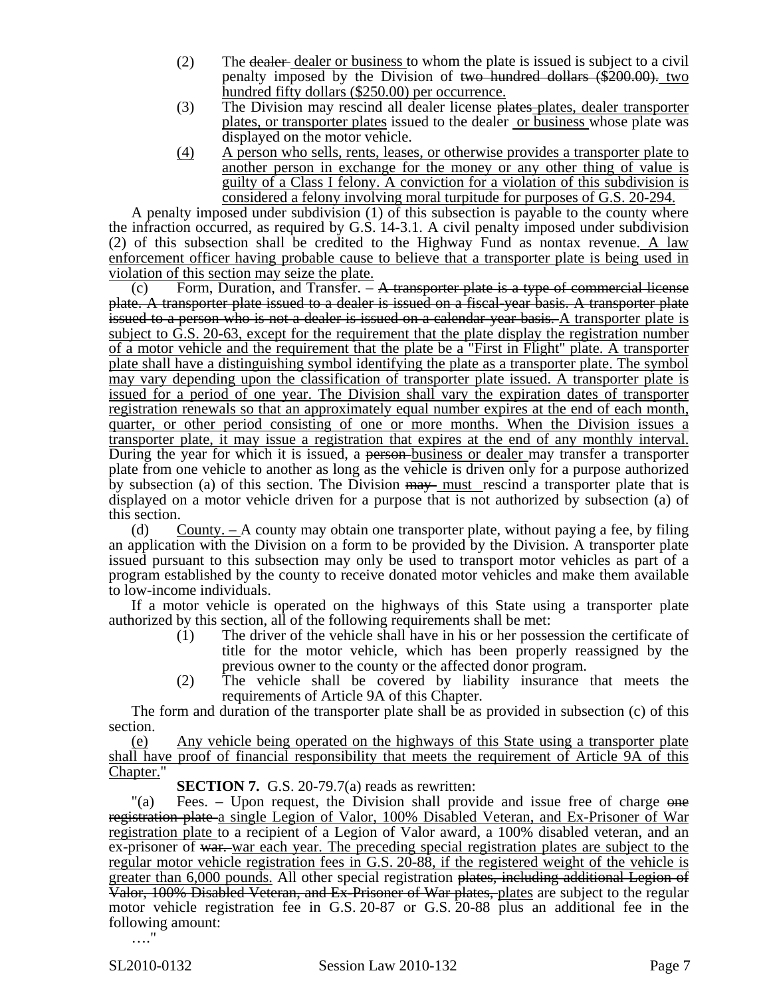- (2) The dealer dealer or business to whom the plate is issued is subject to a civil penalty imposed by the Division of two hundred dollars (\$200.00). two hundred fifty dollars (\$250.00) per occurrence.
- (3) The Division may rescind all dealer license plates plates, dealer transporter plates, or transporter plates issued to the dealer or business whose plate was displayed on the motor vehicle.
- (4) A person who sells, rents, leases, or otherwise provides a transporter plate to another person in exchange for the money or any other thing of value is guilty of a Class I felony. A conviction for a violation of this subdivision is considered a felony involving moral turpitude for purposes of G.S. 20-294.

A penalty imposed under subdivision (1) of this subsection is payable to the county where the infraction occurred, as required by G.S. 14-3.1. A civil penalty imposed under subdivision (2) of this subsection shall be credited to the Highway Fund as nontax revenue. A law enforcement officer having probable cause to believe that a transporter plate is being used in violation of this section may seize the plate.

(c) Form, Duration, and Transfer.  $-$  A transporter plate is a type of commercial license plate. A transporter plate issued to a dealer is issued on a fiscal-year basis. A transporter plate issued to a person who is not a dealer is issued on a calendar-year basis. A transporter plate is subject to G.S. 20-63, except for the requirement that the plate display the registration number of a motor vehicle and the requirement that the plate be a "First in Flight" plate. A transporter plate shall have a distinguishing symbol identifying the plate as a transporter plate. The symbol may vary depending upon the classification of transporter plate issued. A transporter plate is issued for a period of one year. The Division shall vary the expiration dates of transporter registration renewals so that an approximately equal number expires at the end of each month, quarter, or other period consisting of one or more months. When the Division issues a transporter plate, it may issue a registration that expires at the end of any monthly interval. During the year for which it is issued, a person-business or dealer may transfer a transporter plate from one vehicle to another as long as the vehicle is driven only for a purpose authorized by subsection (a) of this section. The Division  $\frac{m}{w}$  must rescind a transporter plate that is displayed on a motor vehicle driven for a purpose that is not authorized by subsection (a) of this section.

(d) County.  $-A$  county may obtain one transporter plate, without paying a fee, by filing an application with the Division on a form to be provided by the Division. A transporter plate issued pursuant to this subsection may only be used to transport motor vehicles as part of a program established by the county to receive donated motor vehicles and make them available to low-income individuals.

If a motor vehicle is operated on the highways of this State using a transporter plate authorized by this section, all of the following requirements shall be met:

- (1) The driver of the vehicle shall have in his or her possession the certificate of title for the motor vehicle, which has been properly reassigned by the previous owner to the county or the affected donor program.
- (2) The vehicle shall be covered by liability insurance that meets the requirements of Article 9A of this Chapter.

The form and duration of the transporter plate shall be as provided in subsection (c) of this section.

(e) Any vehicle being operated on the highways of this State using a transporter plate shall have proof of financial responsibility that meets the requirement of Article 9A of this Chapter."

**SECTION 7.** G.S. 20-79.7(a) reads as rewritten:

"(a) Fees. – Upon request, the Division shall provide and issue free of charge one registration plate a single Legion of Valor, 100% Disabled Veteran, and Ex-Prisoner of War registration plate to a recipient of a Legion of Valor award, a 100% disabled veteran, and an ex-prisoner of war. war each year. The preceding special registration plates are subject to the regular motor vehicle registration fees in G.S. 20-88, if the registered weight of the vehicle is greater than 6,000 pounds. All other special registration plates, including additional Legion of Valor, 100% Disabled Veteran, and Ex-Prisoner of War plates, plates are subject to the regular motor vehicle registration fee in G.S. 20-87 or G.S. 20-88 plus an additional fee in the following amount:

…"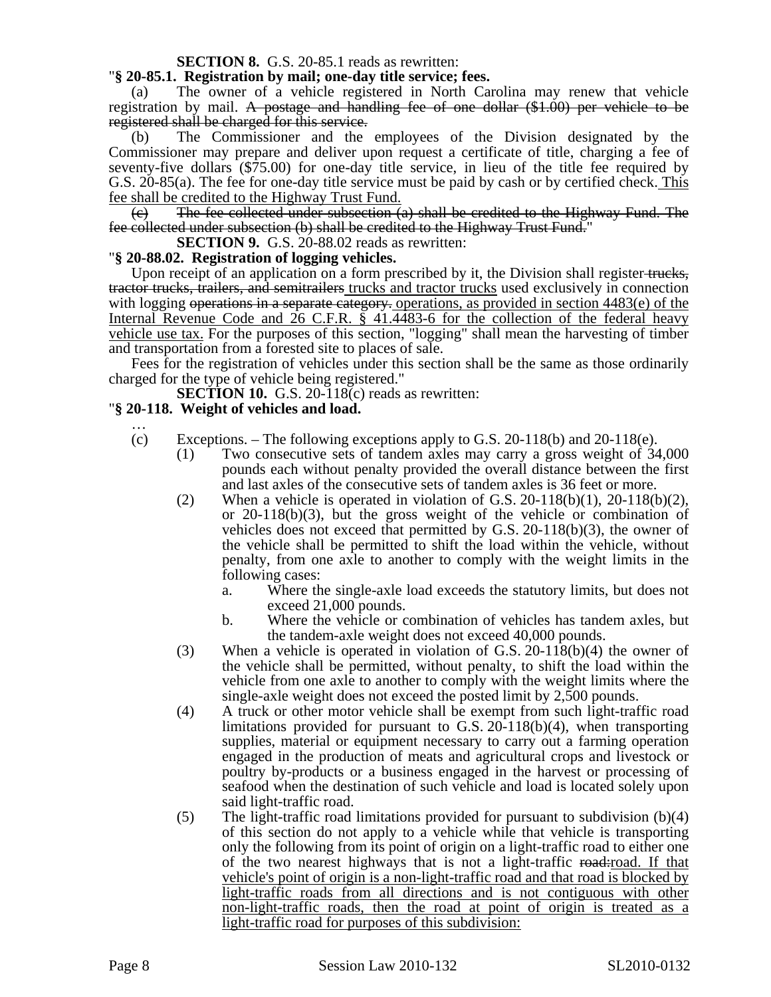#### **SECTION 8.** G.S. 20-85.1 reads as rewritten:

#### "**§ 20-85.1. Registration by mail; one-day title service; fees.**

(a) The owner of a vehicle registered in North Carolina may renew that vehicle registration by mail. A postage and handling fee of one dollar (\$1.00) per vehicle to be registered shall be charged for this service.

(b) The Commissioner and the employees of the Division designated by the Commissioner may prepare and deliver upon request a certificate of title, charging a fee of seventy-five dollars (\$75.00) for one-day title service, in lieu of the title fee required by G.S. 20-85(a). The fee for one-day title service must be paid by cash or by certified check. This fee shall be credited to the Highway Trust Fund.

 $\epsilon$ ) The fee collected under subsection  $\epsilon$  shall be credited to the Highway Fund. The fee collected under subsection (b) shall be credited to the Highway Trust Fund."

**SECTION 9.** G.S. 20-88.02 reads as rewritten:

#### "**§ 20-88.02. Registration of logging vehicles.**

Upon receipt of an application on a form prescribed by it, the Division shall register-trucks, tractor trucks, trailers, and semitrailers trucks and tractor trucks used exclusively in connection with logging operations in a separate category. operations, as provided in section 4483(e) of the Internal Revenue Code and 26 C.F.R. § 41.4483-6 for the collection of the federal heavy vehicle use tax. For the purposes of this section, "logging" shall mean the harvesting of timber and transportation from a forested site to places of sale.

Fees for the registration of vehicles under this section shall be the same as those ordinarily charged for the type of vehicle being registered."

**SECTION 10.** G.S. 20-118(c) reads as rewritten:

#### "**§ 20-118. Weight of vehicles and load.**

- … (c) Exceptions. – The following exceptions apply to G.S.  $20-118(b)$  and  $20-118(e)$ .
	- (1) Two consecutive sets of tandem axles may carry a gross weight of 34,000 pounds each without penalty provided the overall distance between the first and last axles of the consecutive sets of tandem axles is 36 feet or more.
	- (2) When a vehicle is operated in violation of G.S.  $20-118(b)(1)$ ,  $20-118(b)(2)$ , or 20-118(b)(3), but the gross weight of the vehicle or combination of vehicles does not exceed that permitted by G.S. 20-118(b)(3), the owner of the vehicle shall be permitted to shift the load within the vehicle, without penalty, from one axle to another to comply with the weight limits in the following cases:
		- a. Where the single-axle load exceeds the statutory limits, but does not exceed 21,000 pounds.
		- b. Where the vehicle or combination of vehicles has tandem axles, but the tandem-axle weight does not exceed 40,000 pounds.
	- (3) When a vehicle is operated in violation of G.S. 20-118(b)(4) the owner of the vehicle shall be permitted, without penalty, to shift the load within the vehicle from one axle to another to comply with the weight limits where the single-axle weight does not exceed the posted limit by 2,500 pounds.
	- (4) A truck or other motor vehicle shall be exempt from such light-traffic road limitations provided for pursuant to G.S. 20-118(b)(4), when transporting supplies, material or equipment necessary to carry out a farming operation engaged in the production of meats and agricultural crops and livestock or poultry by-products or a business engaged in the harvest or processing of seafood when the destination of such vehicle and load is located solely upon said light-traffic road.
	- (5) The light-traffic road limitations provided for pursuant to subdivision (b)(4) of this section do not apply to a vehicle while that vehicle is transporting only the following from its point of origin on a light-traffic road to either one of the two nearest highways that is not a light-traffic road-road. If that vehicle's point of origin is a non-light-traffic road and that road is blocked by light-traffic roads from all directions and is not contiguous with other non-light-traffic roads, then the road at point of origin is treated as a light-traffic road for purposes of this subdivision: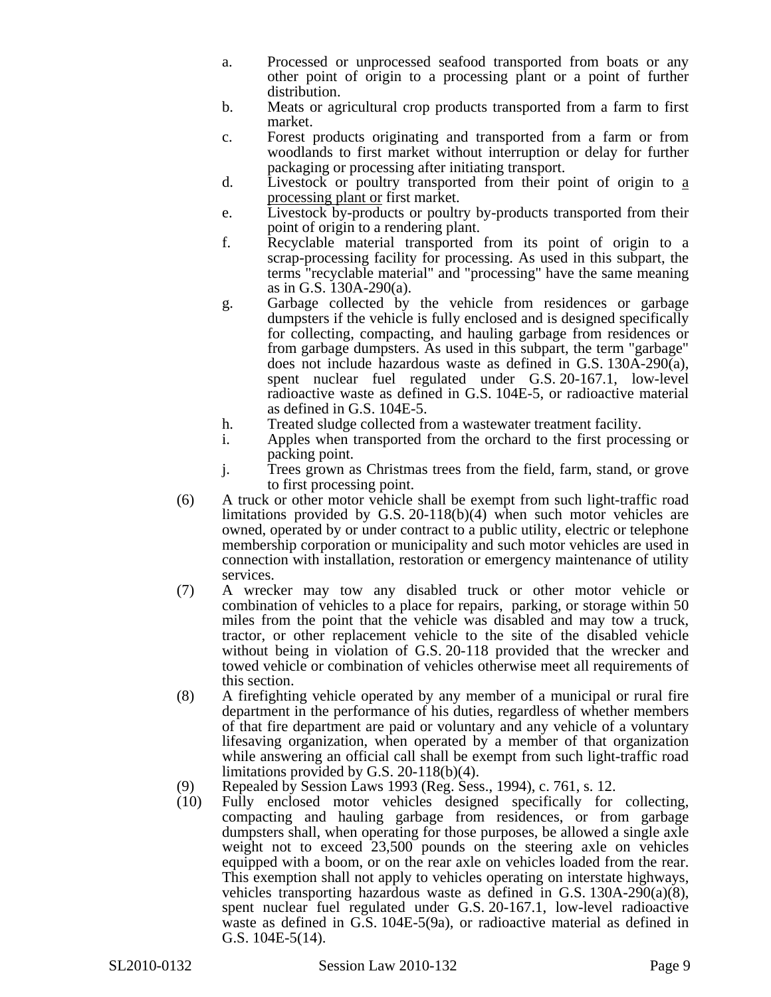- a. Processed or unprocessed seafood transported from boats or any other point of origin to a processing plant or a point of further distribution.
- b. Meats or agricultural crop products transported from a farm to first market.
- c. Forest products originating and transported from a farm or from woodlands to first market without interruption or delay for further packaging or processing after initiating transport.
- d. Livestock or poultry transported from their point of origin to a processing plant or first market.
- e. Livestock by-products or poultry by-products transported from their point of origin to a rendering plant.
- f. Recyclable material transported from its point of origin to a scrap-processing facility for processing. As used in this subpart, the terms "recyclable material" and "processing" have the same meaning as in G.S. 130A-290(a).
- g. Garbage collected by the vehicle from residences or garbage dumpsters if the vehicle is fully enclosed and is designed specifically for collecting, compacting, and hauling garbage from residences or from garbage dumpsters. As used in this subpart, the term "garbage" does not include hazardous waste as defined in G.S. 130A-290(a), spent nuclear fuel regulated under G.S. 20-167.1, low-level radioactive waste as defined in G.S. 104E-5, or radioactive material as defined in G.S. 104E-5.
- h. Treated sludge collected from a wastewater treatment facility.
- i. Apples when transported from the orchard to the first processing or packing point.
- j. Trees grown as Christmas trees from the field, farm, stand, or grove to first processing point.
- (6) A truck or other motor vehicle shall be exempt from such light-traffic road limitations provided by G.S. 20-118(b)(4) when such motor vehicles are owned, operated by or under contract to a public utility, electric or telephone membership corporation or municipality and such motor vehicles are used in connection with installation, restoration or emergency maintenance of utility services.
- (7) A wrecker may tow any disabled truck or other motor vehicle or combination of vehicles to a place for repairs, parking, or storage within 50 miles from the point that the vehicle was disabled and may tow a truck, tractor, or other replacement vehicle to the site of the disabled vehicle without being in violation of G.S. 20-118 provided that the wrecker and towed vehicle or combination of vehicles otherwise meet all requirements of this section.
- (8) A firefighting vehicle operated by any member of a municipal or rural fire department in the performance of his duties, regardless of whether members of that fire department are paid or voluntary and any vehicle of a voluntary lifesaving organization, when operated by a member of that organization while answering an official call shall be exempt from such light-traffic road limitations provided by G.S. 20-118(b)(4).
- (9) Repealed by Session Laws 1993 (Reg. Sess., 1994), c. 761, s. 12.
- (10) Fully enclosed motor vehicles designed specifically for collecting, compacting and hauling garbage from residences, or from garbage dumpsters shall, when operating for those purposes, be allowed a single axle weight not to exceed 23,500 pounds on the steering axle on vehicles equipped with a boom, or on the rear axle on vehicles loaded from the rear. This exemption shall not apply to vehicles operating on interstate highways, vehicles transporting hazardous waste as defined in G.S. 130A-290(a)(8), spent nuclear fuel regulated under G.S. 20-167.1, low-level radioactive waste as defined in G.S. 104E-5(9a), or radioactive material as defined in G.S. 104E-5(14).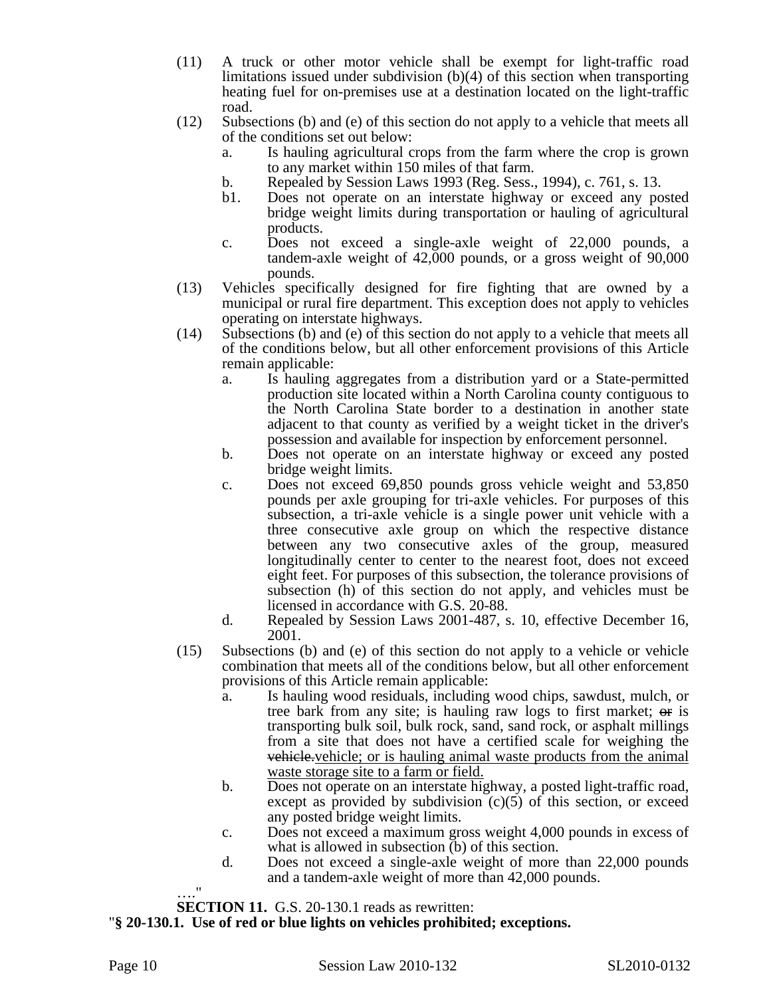- (11) A truck or other motor vehicle shall be exempt for light-traffic road limitations issued under subdivision (b)(4) of this section when transporting heating fuel for on-premises use at a destination located on the light-traffic road.
- (12) Subsections (b) and (e) of this section do not apply to a vehicle that meets all of the conditions set out below:
	- a. Is hauling agricultural crops from the farm where the crop is grown to any market within 150 miles of that farm.
	- b. Repealed by Session Laws 1993 (Reg. Sess., 1994), c. 761, s. 13.
	- b1. Does not operate on an interstate highway or exceed any posted bridge weight limits during transportation or hauling of agricultural products.
	- c. Does not exceed a single-axle weight of 22,000 pounds, a tandem-axle weight of 42,000 pounds, or a gross weight of 90,000 pounds.
- (13) Vehicles specifically designed for fire fighting that are owned by a municipal or rural fire department. This exception does not apply to vehicles operating on interstate highways.
- (14) Subsections (b) and (e) of this section do not apply to a vehicle that meets all of the conditions below, but all other enforcement provisions of this Article remain applicable:
	- a. Is hauling aggregates from a distribution yard or a State-permitted production site located within a North Carolina county contiguous to the North Carolina State border to a destination in another state adjacent to that county as verified by a weight ticket in the driver's possession and available for inspection by enforcement personnel.
	- b. Does not operate on an interstate highway or exceed any posted bridge weight limits.
	- c. Does not exceed 69,850 pounds gross vehicle weight and 53,850 pounds per axle grouping for tri-axle vehicles. For purposes of this subsection, a tri-axle vehicle is a single power unit vehicle with a three consecutive axle group on which the respective distance between any two consecutive axles of the group, measured longitudinally center to center to the nearest foot, does not exceed eight feet. For purposes of this subsection, the tolerance provisions of subsection (h) of this section do not apply, and vehicles must be licensed in accordance with G.S. 20-88.
	- d. Repealed by Session Laws 2001-487, s. 10, effective December 16, 2001.
- (15) Subsections (b) and (e) of this section do not apply to a vehicle or vehicle combination that meets all of the conditions below, but all other enforcement provisions of this Article remain applicable:
	- a. Is hauling wood residuals, including wood chips, sawdust, mulch, or tree bark from any site; is hauling raw logs to first market; or is transporting bulk soil, bulk rock, sand, sand rock, or asphalt millings from a site that does not have a certified scale for weighing the vehicle.vehicle; or is hauling animal waste products from the animal waste storage site to a farm or field.
	- b. Does not operate on an interstate highway, a posted light-traffic road, except as provided by subdivision  $(c)(5)$  of this section, or exceed any posted bridge weight limits.
	- c. Does not exceed a maximum gross weight 4,000 pounds in excess of what is allowed in subsection (b) of this section.
	- d. Does not exceed a single-axle weight of more than 22,000 pounds and a tandem-axle weight of more than 42,000 pounds.
- …." **SECTION 11.** G.S. 20-130.1 reads as rewritten:
- "**§ 20-130.1. Use of red or blue lights on vehicles prohibited; exceptions.**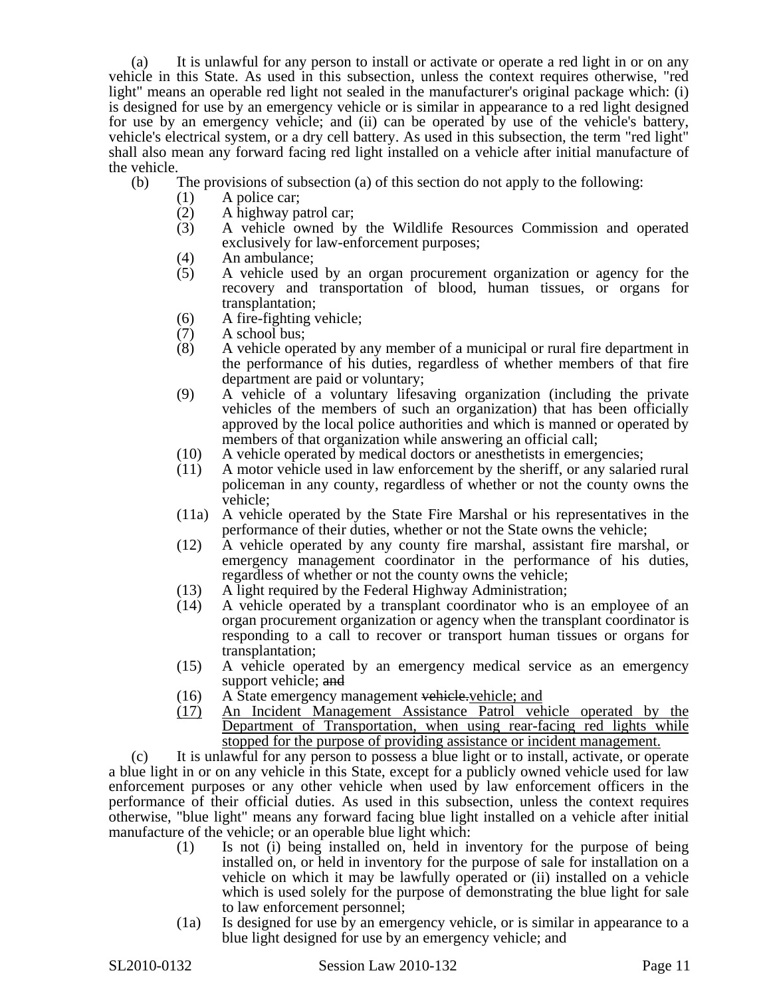(a) It is unlawful for any person to install or activate or operate a red light in or on any vehicle in this State. As used in this subsection, unless the context requires otherwise, "red light" means an operable red light not sealed in the manufacturer's original package which: (i) is designed for use by an emergency vehicle or is similar in appearance to a red light designed for use by an emergency vehicle; and (ii) can be operated by use of the vehicle's battery, vehicle's electrical system, or a dry cell battery. As used in this subsection, the term "red light" shall also mean any forward facing red light installed on a vehicle after initial manufacture of the vehicle.

- (b) The provisions of subsection (a) of this section do not apply to the following:
	- (1) A police car;
	-
	- (2) A highway patrol car;<br>(3) A vehicle owned by (3) A vehicle owned by the Wildlife Resources Commission and operated exclusively for law-enforcement purposes;
	- (4) An ambulance;
	- (5) A vehicle used by an organ procurement organization or agency for the recovery and transportation of blood, human tissues, or organs for transplantation;
	- (6) A fire-fighting vehicle;
	- $(7)$  A school bus;<br>(8) A vehicle one
	- (8) A vehicle operated by any member of a municipal or rural fire department in the performance of his duties, regardless of whether members of that fire department are paid or voluntary;
	- (9) A vehicle of a voluntary lifesaving organization (including the private vehicles of the members of such an organization) that has been officially approved by the local police authorities and which is manned or operated by members of that organization while answering an official call;
	- (10) A vehicle operated by medical doctors or anesthetists in emergencies;
	- (11) A motor vehicle used in law enforcement by the sheriff, or any salaried rural policeman in any county, regardless of whether or not the county owns the vehicle;
	- (11a) A vehicle operated by the State Fire Marshal or his representatives in the performance of their duties, whether or not the State owns the vehicle;
	- (12) A vehicle operated by any county fire marshal, assistant fire marshal, or emergency management coordinator in the performance of his duties, regardless of whether or not the county owns the vehicle;
	- (13) A light required by the Federal Highway Administration;
	- (14) A vehicle operated by a transplant coordinator who is an employee of an organ procurement organization or agency when the transplant coordinator is responding to a call to recover or transport human tissues or organs for transplantation;
	- (15) A vehicle operated by an emergency medical service as an emergency support vehicle; and
	- (16) A State emergency management vehicle-vehicle; and
	- (17) An Incident Management Assistance Patrol vehicle operated by the Department of Transportation, when using rear-facing red lights while stopped for the purpose of providing assistance or incident management.

(c) It is unlawful for any person to possess a blue light or to install, activate, or operate a blue light in or on any vehicle in this State, except for a publicly owned vehicle used for law enforcement purposes or any other vehicle when used by law enforcement officers in the performance of their official duties. As used in this subsection, unless the context requires otherwise, "blue light" means any forward facing blue light installed on a vehicle after initial manufacture of the vehicle; or an operable blue light which:

- (1) Is not (i) being installed on, held in inventory for the purpose of being installed on, or held in inventory for the purpose of sale for installation on a vehicle on which it may be lawfully operated or (ii) installed on a vehicle which is used solely for the purpose of demonstrating the blue light for sale to law enforcement personnel;
- (1a) Is designed for use by an emergency vehicle, or is similar in appearance to a blue light designed for use by an emergency vehicle; and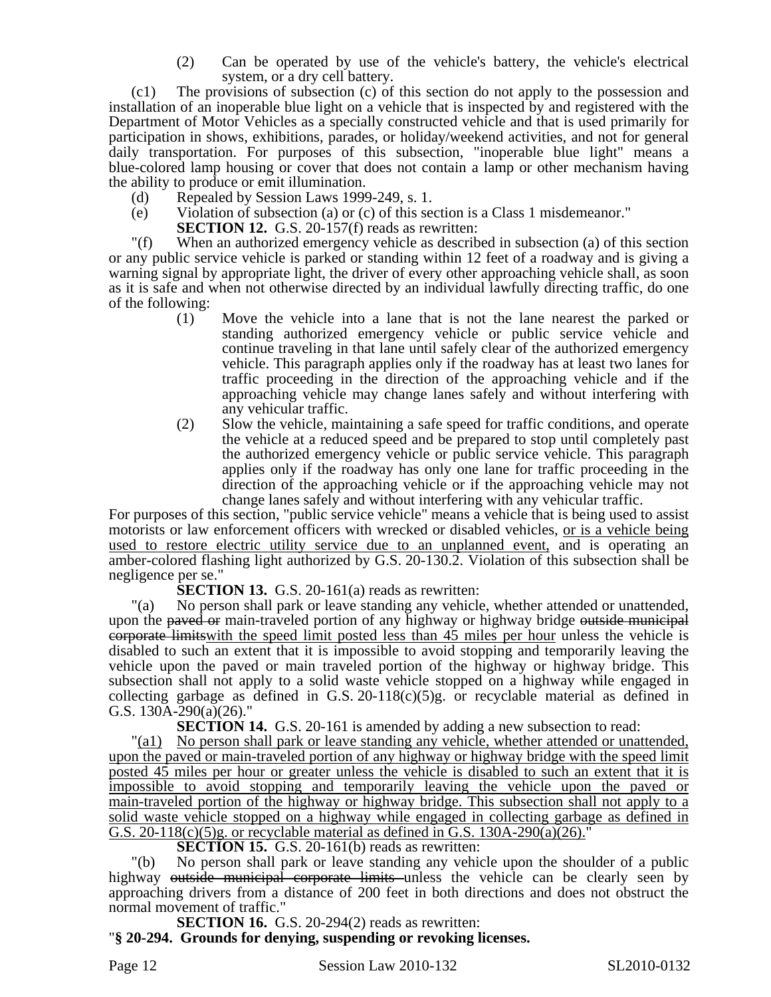(2) Can be operated by use of the vehicle's battery, the vehicle's electrical system, or a dry cell battery.

(c1) The provisions of subsection (c) of this section do not apply to the possession and installation of an inoperable blue light on a vehicle that is inspected by and registered with the Department of Motor Vehicles as a specially constructed vehicle and that is used primarily for participation in shows, exhibitions, parades, or holiday/weekend activities, and not for general daily transportation. For purposes of this subsection, "inoperable blue light" means a blue-colored lamp housing or cover that does not contain a lamp or other mechanism having the ability to produce or emit illumination.

- (d) Repealed by Session Laws 1999-249, s. 1.
- (e) Violation of subsection (a) or (c) of this section is a Class 1 misdemeanor."
	- **SECTION 12.** G.S. 20-157(f) reads as rewritten:

"(f) When an authorized emergency vehicle as described in subsection (a) of this section or any public service vehicle is parked or standing within 12 feet of a roadway and is giving a warning signal by appropriate light, the driver of every other approaching vehicle shall, as soon as it is safe and when not otherwise directed by an individual lawfully directing traffic, do one of the following:

- (1) Move the vehicle into a lane that is not the lane nearest the parked or standing authorized emergency vehicle or public service vehicle and continue traveling in that lane until safely clear of the authorized emergency vehicle. This paragraph applies only if the roadway has at least two lanes for traffic proceeding in the direction of the approaching vehicle and if the approaching vehicle may change lanes safely and without interfering with any vehicular traffic.
- (2) Slow the vehicle, maintaining a safe speed for traffic conditions, and operate the vehicle at a reduced speed and be prepared to stop until completely past the authorized emergency vehicle or public service vehicle. This paragraph applies only if the roadway has only one lane for traffic proceeding in the direction of the approaching vehicle or if the approaching vehicle may not change lanes safely and without interfering with any vehicular traffic.

For purposes of this section, "public service vehicle" means a vehicle that is being used to assist motorists or law enforcement officers with wrecked or disabled vehicles, or is a vehicle being used to restore electric utility service due to an unplanned event, and is operating an amber-colored flashing light authorized by G.S. 20-130.2. Violation of this subsection shall be negligence per se."

**SECTION 13.** G.S. 20-161(a) reads as rewritten:

"(a) No person shall park or leave standing any vehicle, whether attended or unattended, upon the paved or main-traveled portion of any highway or highway bridge outside municipal corporate limitswith the speed limit posted less than 45 miles per hour unless the vehicle is disabled to such an extent that it is impossible to avoid stopping and temporarily leaving the vehicle upon the paved or main traveled portion of the highway or highway bridge. This subsection shall not apply to a solid waste vehicle stopped on a highway while engaged in collecting garbage as defined in G.S.  $20-118(c)(5)g$ , or recyclable material as defined in G.S. 130A-290(a)(26)."

**SECTION 14.** G.S. 20-161 is amended by adding a new subsection to read:

"(a1) No person shall park or leave standing any vehicle, whether attended or unattended, upon the paved or main-traveled portion of any highway or highway bridge with the speed limit posted 45 miles per hour or greater unless the vehicle is disabled to such an extent that it is impossible to avoid stopping and temporarily leaving the vehicle upon the paved or main-traveled portion of the highway or highway bridge. This subsection shall not apply to a solid waste vehicle stopped on a highway while engaged in collecting garbage as defined in G.S. 20-118(c)(5)g. or recyclable material as defined in G.S. 130A-290(a)(26)."

**SECTION 15.** G.S. 20-161(b) reads as rewritten:

"(b) No person shall park or leave standing any vehicle upon the shoulder of a public highway outside municipal corporate limits unless the vehicle can be clearly seen by approaching drivers from a distance of 200 feet in both directions and does not obstruct the normal movement of traffic."

**SECTION 16.** G.S. 20-294(2) reads as rewritten:

"**§ 20-294. Grounds for denying, suspending or revoking licenses.** 

Page 12 Session Law 2010-132 SL2010-0132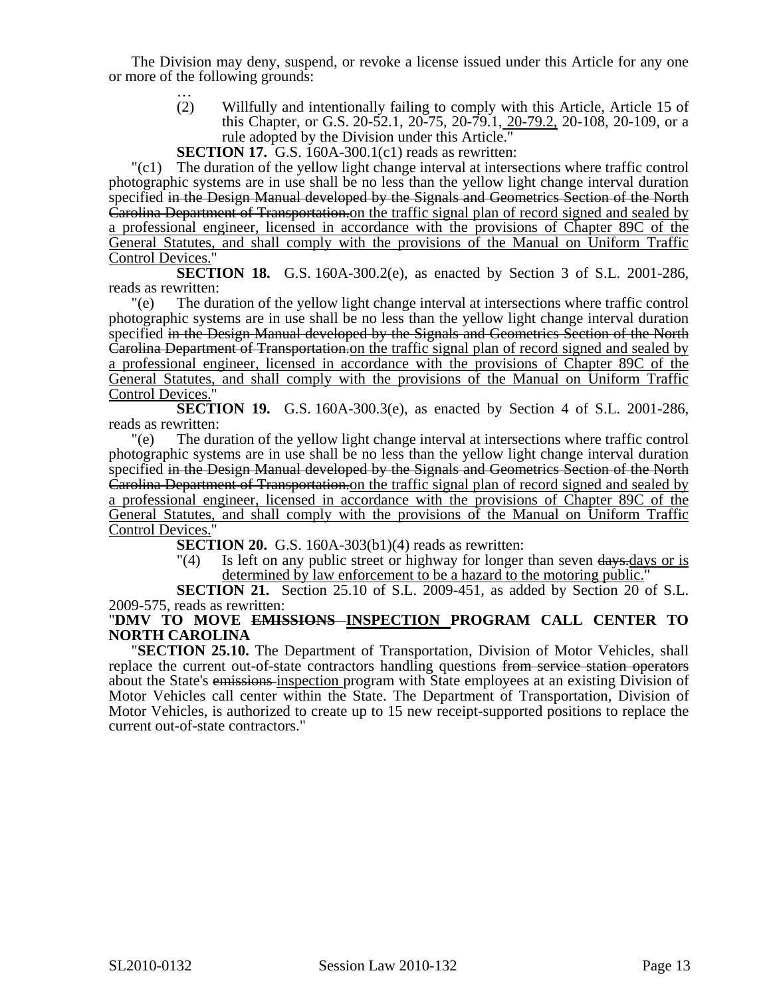The Division may deny, suspend, or revoke a license issued under this Article for any one or more of the following grounds:

> … (2) Willfully and intentionally failing to comply with this Article, Article 15 of this Chapter, or G.S. 20-52.1, 20-75, 20-79.1, 20-79.2, 20-108, 20-109, or a rule adopted by the Division under this Article."

**SECTION 17.** G.S. 160A-300.1(c1) reads as rewritten:

 $\Gamma$ (c1) The duration of the yellow light change interval at intersections where traffic control photographic systems are in use shall be no less than the yellow light change interval duration specified in the Design Manual developed by the Signals and Geometrics Section of the North Carolina Department of Transportation. on the traffic signal plan of record signed and sealed by a professional engineer, licensed in accordance with the provisions of Chapter 89C of the General Statutes, and shall comply with the provisions of the Manual on Uniform Traffic Control Devices."

**SECTION 18.** G.S. 160A-300.2(e), as enacted by Section 3 of S.L. 2001-286, reads as rewritten:

"(e) The duration of the yellow light change interval at intersections where traffic control photographic systems are in use shall be no less than the yellow light change interval duration specified in the Design Manual developed by the Signals and Geometrics Section of the North Carolina Department of Transportation.on the traffic signal plan of record signed and sealed by a professional engineer, licensed in accordance with the provisions of Chapter 89C of the General Statutes, and shall comply with the provisions of the Manual on Uniform Traffic Control Devices."

**SECTION 19.** G.S. 160A-300.3(e), as enacted by Section 4 of S.L. 2001-286, reads as rewritten:

"(e) The duration of the yellow light change interval at intersections where traffic control photographic systems are in use shall be no less than the yellow light change interval duration specified in the Design Manual developed by the Signals and Geometrics Section of the North Carolina Department of Transportation.on the traffic signal plan of record signed and sealed by a professional engineer, licensed in accordance with the provisions of Chapter 89C of the General Statutes, and shall comply with the provisions of the Manual on Uniform Traffic Control Devices."

**SECTION 20.** G.S. 160A-303(b1)(4) reads as rewritten:

 $\frac{1}{4}$  Is left on any public street or highway for longer than seven  $\frac{days}{days}$  or is determined by law enforcement to be a hazard to the motoring public.

**SECTION 21.** Section 25.10 of S.L. 2009-451, as added by Section 20 of S.L. 2009-575, reads as rewritten:

## "**DMV TO MOVE EMISSIONS INSPECTION PROGRAM CALL CENTER TO NORTH CAROLINA**

"**SECTION 25.10.** The Department of Transportation, Division of Motor Vehicles, shall replace the current out-of-state contractors handling questions from service station operators about the State's emissions inspection program with State employees at an existing Division of Motor Vehicles call center within the State. The Department of Transportation, Division of Motor Vehicles, is authorized to create up to 15 new receipt-supported positions to replace the current out-of-state contractors."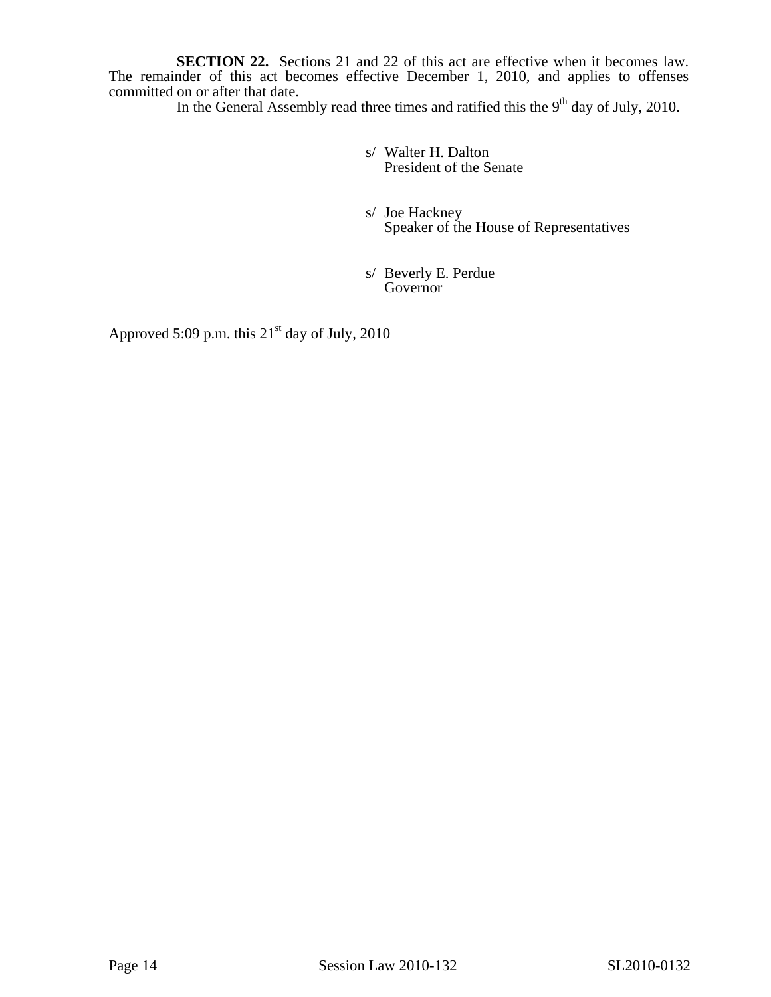**SECTION 22.** Sections 21 and 22 of this act are effective when it becomes law. The remainder of this act becomes effective December 1, 2010, and applies to offenses committed on or after that date.

In the General Assembly read three times and ratified this the  $9<sup>th</sup>$  day of July, 2010.

 s/ Walter H. Dalton President of the Senate

 s/ Joe Hackney Speaker of the House of Representatives

 s/ Beverly E. Perdue Governor

Approved 5:09 p.m. this  $21<sup>st</sup>$  day of July, 2010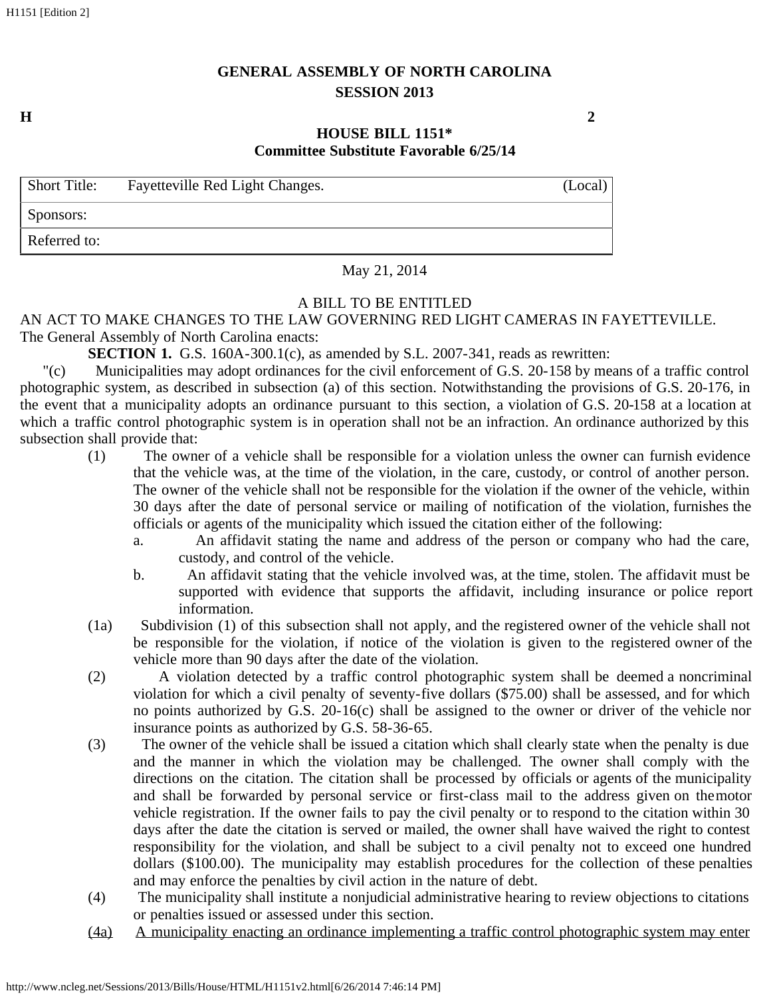# **GENERAL ASSEMBLY OF NORTH CAROLINA SESSION 2013**

**H 2**

## **HOUSE BILL 1151\* Committee Substitute Favorable 6/25/14**

| <b>Short Title:</b> | Fayetteville Red Light Changes. | (Local) |
|---------------------|---------------------------------|---------|
| Sponsors:           |                                 |         |
| Referred to:        |                                 |         |

May 21, 2014

# A BILL TO BE ENTITLED

### AN ACT TO MAKE CHANGES TO THE LAW GOVERNING RED LIGHT CAMERAS IN FAYETTEVILLE. The General Assembly of North Carolina enacts:

**SECTION 1.** G.S. 160A-300.1(c), as amended by S.L. 2007-341, reads as rewritten:

"(c) Municipalities may adopt ordinances for the civil enforcement of G.S. 20-158 by means of a traffic control photographic system, as described in subsection (a) of this section. Notwithstanding the provisions of G.S. 20-176, in the event that a municipality adopts an ordinance pursuant to this section, a violation of G.S. 20-158 at a location at which a traffic control photographic system is in operation shall not be an infraction. An ordinance authorized by this subsection shall provide that:

- (1) The owner of a vehicle shall be responsible for a violation unless the owner can furnish evidence that the vehicle was, at the time of the violation, in the care, custody, or control of another person. The owner of the vehicle shall not be responsible for the violation if the owner of the vehicle, within 30 days after the date of personal service or mailing of notification of the violation, furnishes the officials or agents of the municipality which issued the citation either of the following:
	- a. An affidavit stating the name and address of the person or company who had the care, custody, and control of the vehicle.
	- b. An affidavit stating that the vehicle involved was, at the time, stolen. The affidavit must be supported with evidence that supports the affidavit, including insurance or police report information.
- (1a) Subdivision (1) of this subsection shall not apply, and the registered owner of the vehicle shall not be responsible for the violation, if notice of the violation is given to the registered owner of the vehicle more than 90 days after the date of the violation.
- (2) A violation detected by a traffic control photographic system shall be deemed a noncriminal violation for which a civil penalty of seventy-five dollars (\$75.00) shall be assessed, and for which no points authorized by G.S. 20-16(c) shall be assigned to the owner or driver of the vehicle nor insurance points as authorized by G.S. 58-36-65.
- (3) The owner of the vehicle shall be issued a citation which shall clearly state when the penalty is due and the manner in which the violation may be challenged. The owner shall comply with the directions on the citation. The citation shall be processed by officials or agents of the municipality and shall be forwarded by personal service or first-class mail to the address given on the motor vehicle registration. If the owner fails to pay the civil penalty or to respond to the citation within 30 days after the date the citation is served or mailed, the owner shall have waived the right to contest responsibility for the violation, and shall be subject to a civil penalty not to exceed one hundred dollars (\$100.00). The municipality may establish procedures for the collection of these penalties and may enforce the penalties by civil action in the nature of debt.
- (4) The municipality shall institute a nonjudicial administrative hearing to review objections to citations or penalties issued or assessed under this section.
- (4a) A municipality enacting an ordinance implementing a traffic control photographic system may enter